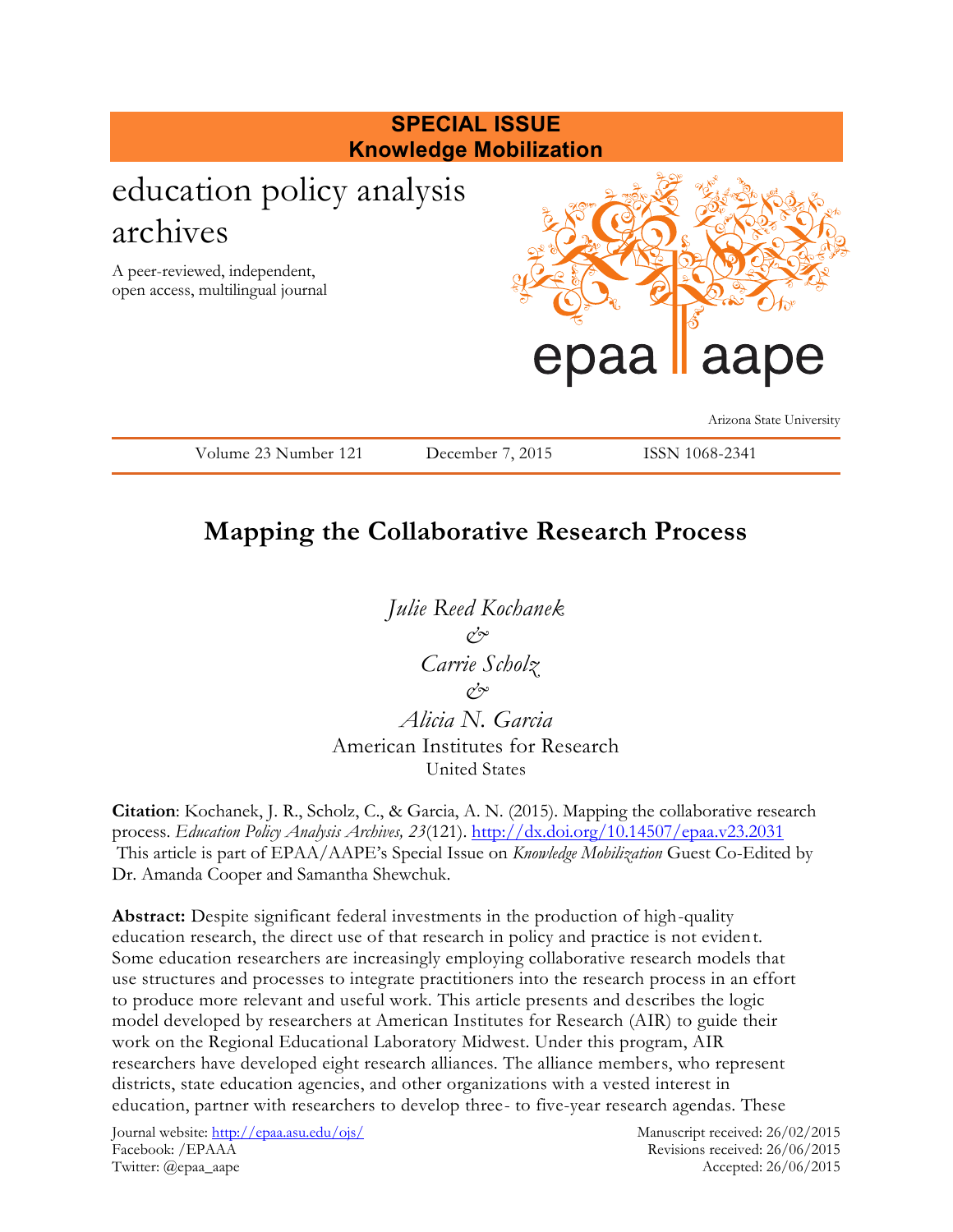

# **Mapping the Collaborative Research Process**

*Julie Reed Kochanek & Carrie Scholz & Alicia N. Garcia* American Institutes for Research United States

**Citation**: Kochanek, J. R., Scholz, C., & Garcia, A. N. (2015). Mapping the collaborative research process. *Education Policy Analysis Archives, 23*(121).<http://dx.doi.org/10.14507/epaa.v23.2031> This article is part of EPAA/AAPE's Special Issue on *Knowledge Mobilization* Guest Co-Edited by Dr. Amanda Cooper and Samantha Shewchuk.

**Abstract:** Despite significant federal investments in the production of high-quality education research, the direct use of that research in policy and practice is not evident. Some education researchers are increasingly employing collaborative research models that use structures and processes to integrate practitioners into the research process in an effort to produce more relevant and useful work. This article presents and describes the logic model developed by researchers at American Institutes for Research (AIR) to guide their work on the Regional Educational Laboratory Midwest. Under this program, AIR researchers have developed eight research alliances. The alliance members, who represent districts, state education agencies, and other organizations with a vested interest in education, partner with researchers to develop three- to five-year research agendas. These

Journal website:<http://epaa.asu.edu/ojs/> Manuscript received: 26/02/2015 Facebook: /EPAAA Revisions received: 26/06/2015 Twitter: @epaa\_aape Accepted: 26/06/2015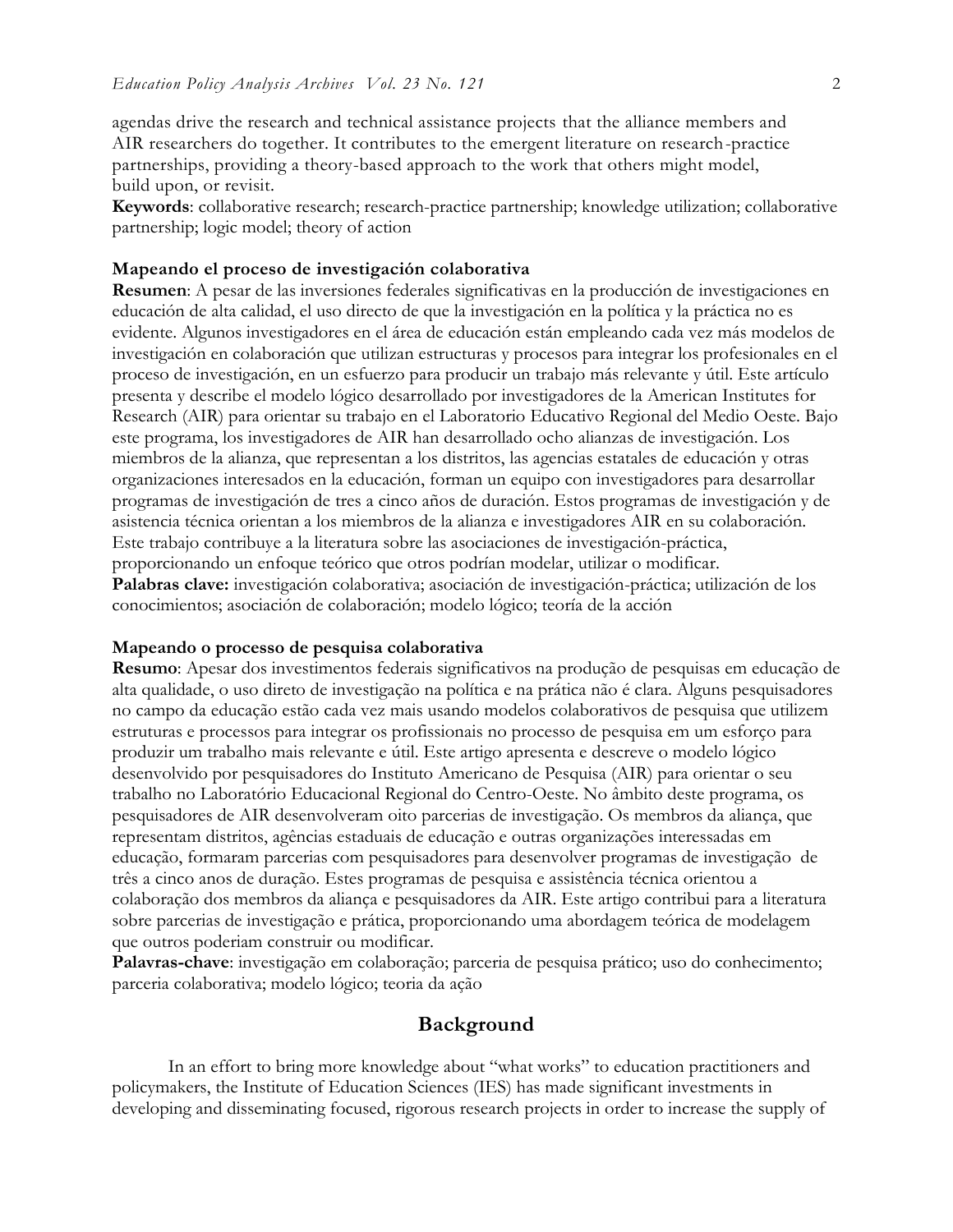agendas drive the research and technical assistance projects that the alliance members and AIR researchers do together. It contributes to the emergent literature on research-practice partnerships, providing a theory-based approach to the work that others might model, build upon, or revisit.

**Keywords**: collaborative research; research-practice partnership; knowledge utilization; collaborative partnership; logic model; theory of action

#### **Mapeando el proceso de investigación colaborativa**

**Resumen**: A pesar de las inversiones federales significativas en la producción de investigaciones en educación de alta calidad, el uso directo de que la investigación en la política y la práctica no es evidente. Algunos investigadores en el área de educación están empleando cada vez más modelos de investigación en colaboración que utilizan estructuras y procesos para integrar los profesionales en el proceso de investigación, en un esfuerzo para producir un trabajo más relevante y útil. Este artículo presenta y describe el modelo lógico desarrollado por investigadores de la American Institutes for Research (AIR) para orientar su trabajo en el Laboratorio Educativo Regional del Medio Oeste. Bajo este programa, los investigadores de AIR han desarrollado ocho alianzas de investigación. Los miembros de la alianza, que representan a los distritos, las agencias estatales de educación y otras organizaciones interesados en la educación, forman un equipo con investigadores para desarrollar programas de investigación de tres a cinco años de duración. Estos programas de investigación y de asistencia técnica orientan a los miembros de la alianza e investigadores AIR en su colaboración. Este trabajo contribuye a la literatura sobre las asociaciones de investigación-práctica, proporcionando un enfoque teórico que otros podrían modelar, utilizar o modificar. **Palabras clave:** investigación colaborativa; asociación de investigación-práctica; utilización de los conocimientos; asociación de colaboración; modelo lógico; teoría de la acción

#### **Mapeando o processo de pesquisa colaborativa**

**Resumo**: Apesar dos investimentos federais significativos na produção de pesquisas em educação de alta qualidade, o uso direto de investigação na política e na prática não é clara. Alguns pesquisadores no campo da educação estão cada vez mais usando modelos colaborativos de pesquisa que utilizem estruturas e processos para integrar os profissionais no processo de pesquisa em um esforço para produzir um trabalho mais relevante e útil. Este artigo apresenta e descreve o modelo lógico desenvolvido por pesquisadores do Instituto Americano de Pesquisa (AIR) para orientar o seu trabalho no Laboratório Educacional Regional do Centro-Oeste. No âmbito deste programa, os pesquisadores de AIR desenvolveram oito parcerias de investigação. Os membros da aliança, que representam distritos, agências estaduais de educação e outras organizações interessadas em educação, formaram parcerias com pesquisadores para desenvolver programas de investigação de três a cinco anos de duração. Estes programas de pesquisa e assistência técnica orientou a colaboração dos membros da aliança e pesquisadores da AIR. Este artigo contribui para a literatura sobre parcerias de investigação e prática, proporcionando uma abordagem teórica de modelagem que outros poderiam construir ou modificar.

**Palavras-chave**: investigação em colaboração; parceria de pesquisa prático; uso do conhecimento; parceria colaborativa; modelo lógico; teoria da ação

#### **Background**

In an effort to bring more knowledge about "what works" to education practitioners and policymakers, the Institute of Education Sciences (IES) has made significant investments in developing and disseminating focused, rigorous research projects in order to increase the supply of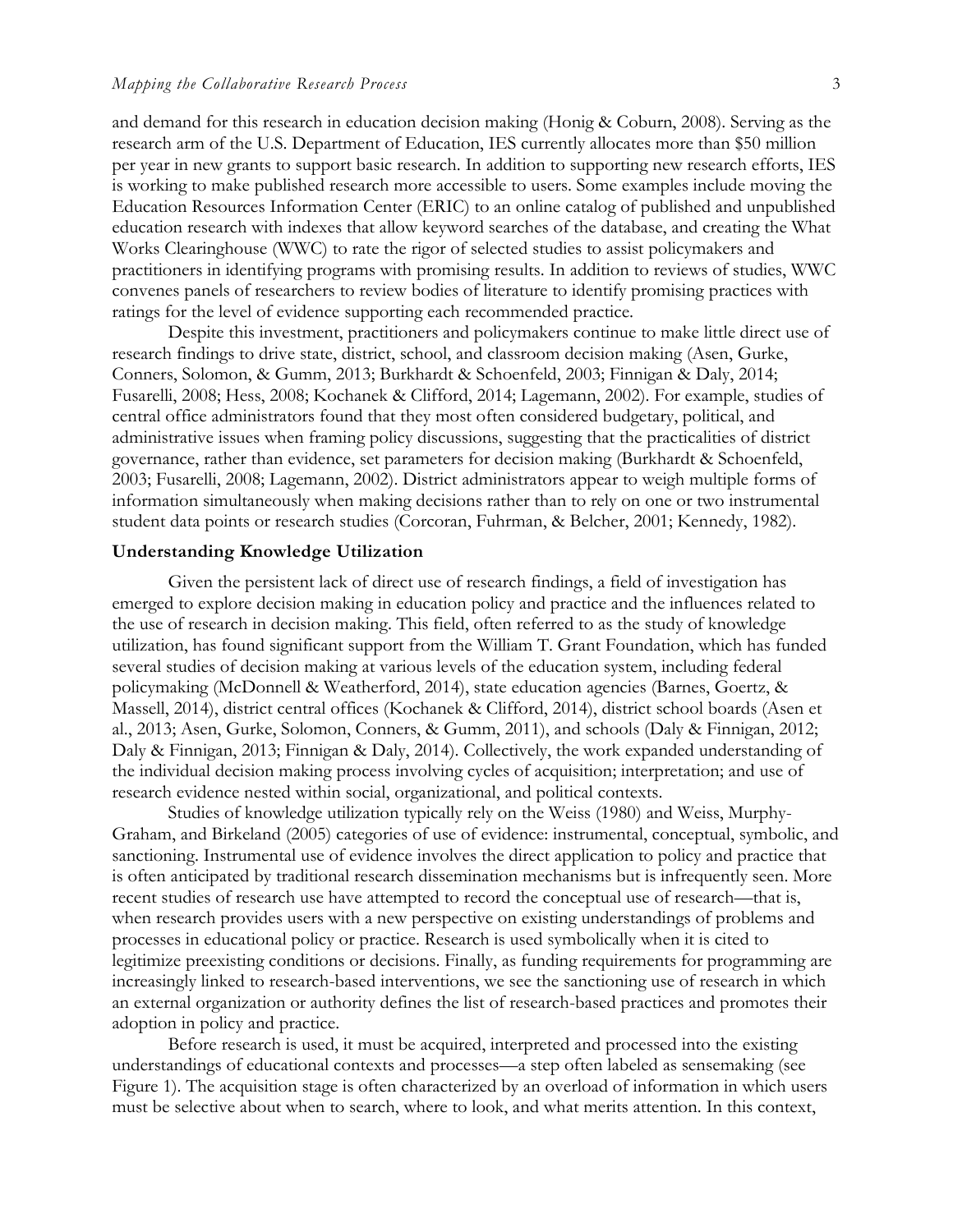and demand for this research in education decision making (Honig & Coburn, 2008). Serving as the research arm of the U.S. Department of Education, IES currently allocates more than \$50 million per year in new grants to support basic research. In addition to supporting new research efforts, IES is working to make published research more accessible to users. Some examples include moving the Education Resources Information Center (ERIC) to an online catalog of published and unpublished education research with indexes that allow keyword searches of the database, and creating the What Works Clearinghouse (WWC) to rate the rigor of selected studies to assist policymakers and practitioners in identifying programs with promising results. In addition to reviews of studies, WWC convenes panels of researchers to review bodies of literature to identify promising practices with ratings for the level of evidence supporting each recommended practice.

Despite this investment, practitioners and policymakers continue to make little direct use of research findings to drive state, district, school, and classroom decision making (Asen, Gurke, Conners, Solomon, & Gumm, 2013; Burkhardt & Schoenfeld, 2003; Finnigan & Daly, 2014; Fusarelli, 2008; Hess, 2008; Kochanek & Clifford, 2014; Lagemann, 2002). For example, studies of central office administrators found that they most often considered budgetary, political, and administrative issues when framing policy discussions, suggesting that the practicalities of district governance, rather than evidence, set parameters for decision making (Burkhardt & Schoenfeld, 2003; Fusarelli, 2008; Lagemann, 2002). District administrators appear to weigh multiple forms of information simultaneously when making decisions rather than to rely on one or two instrumental student data points or research studies (Corcoran, Fuhrman, & Belcher, 2001; Kennedy, 1982).

#### **Understanding Knowledge Utilization**

Given the persistent lack of direct use of research findings, a field of investigation has emerged to explore decision making in education policy and practice and the influences related to the use of research in decision making. This field, often referred to as the study of knowledge utilization, has found significant support from the William T. Grant Foundation, which has funded several studies of decision making at various levels of the education system, including federal policymaking (McDonnell & Weatherford, 2014), state education agencies (Barnes, Goertz, & Massell, 2014), district central offices (Kochanek & Clifford, 2014), district school boards (Asen et al., 2013; Asen, Gurke, Solomon, Conners, & Gumm, 2011), and schools (Daly & Finnigan, 2012; Daly & Finnigan, 2013; Finnigan & Daly, 2014). Collectively, the work expanded understanding of the individual decision making process involving cycles of acquisition; interpretation; and use of research evidence nested within social, organizational, and political contexts.

Studies of knowledge utilization typically rely on the Weiss (1980) and Weiss, Murphy-Graham, and Birkeland (2005) categories of use of evidence: instrumental, conceptual, symbolic, and sanctioning. Instrumental use of evidence involves the direct application to policy and practice that is often anticipated by traditional research dissemination mechanisms but is infrequently seen. More recent studies of research use have attempted to record the conceptual use of research—that is, when research provides users with a new perspective on existing understandings of problems and processes in educational policy or practice. Research is used symbolically when it is cited to legitimize preexisting conditions or decisions. Finally, as funding requirements for programming are increasingly linked to research-based interventions, we see the sanctioning use of research in which an external organization or authority defines the list of research-based practices and promotes their adoption in policy and practice.

Before research is used, it must be acquired, interpreted and processed into the existing understandings of educational contexts and processes—a step often labeled as sensemaking (see Figure 1). The acquisition stage is often characterized by an overload of information in which users must be selective about when to search, where to look, and what merits attention. In this context,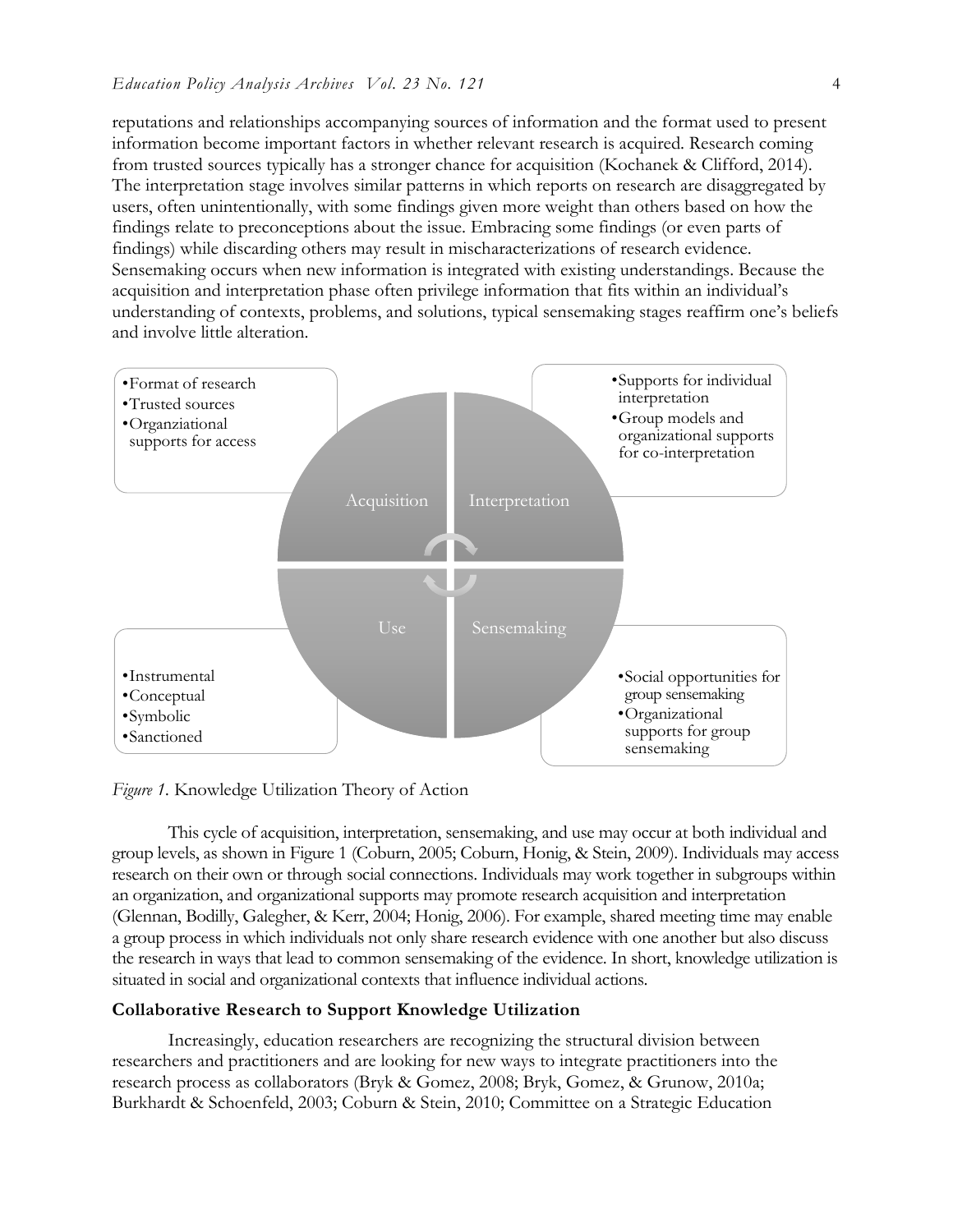reputations and relationships accompanying sources of information and the format used to present information become important factors in whether relevant research is acquired. Research coming from trusted sources typically has a stronger chance for acquisition (Kochanek & Clifford, 2014). The interpretation stage involves similar patterns in which reports on research are disaggregated by users, often unintentionally, with some findings given more weight than others based on how the findings relate to preconceptions about the issue. Embracing some findings (or even parts of findings) while discarding others may result in mischaracterizations of research evidence. Sensemaking occurs when new information is integrated with existing understandings. Because the acquisition and interpretation phase often privilege information that fits within an individual's understanding of contexts, problems, and solutions, typical sensemaking stages reaffirm one's beliefs and involve little alteration.



*Figure 1.* Knowledge Utilization Theory of Action

This cycle of acquisition, interpretation, sensemaking, and use may occur at both individual and group levels, as shown in Figure 1 (Coburn, 2005; Coburn, Honig, & Stein, 2009). Individuals may access research on their own or through social connections. Individuals may work together in subgroups within an organization, and organizational supports may promote research acquisition and interpretation (Glennan, Bodilly, Galegher, & Kerr, 2004; Honig, 2006). For example, shared meeting time may enable a group process in which individuals not only share research evidence with one another but also discuss the research in ways that lead to common sensemaking of the evidence. In short, knowledge utilization is situated in social and organizational contexts that influence individual actions.

#### **Collaborative Research to Support Knowledge Utilization**

Increasingly, education researchers are recognizing the structural division between researchers and practitioners and are looking for new ways to integrate practitioners into the research process as collaborators (Bryk & Gomez, 2008; Bryk, Gomez, & Grunow, 2010a; Burkhardt & Schoenfeld, 2003; Coburn & Stein, 2010; Committee on a Strategic Education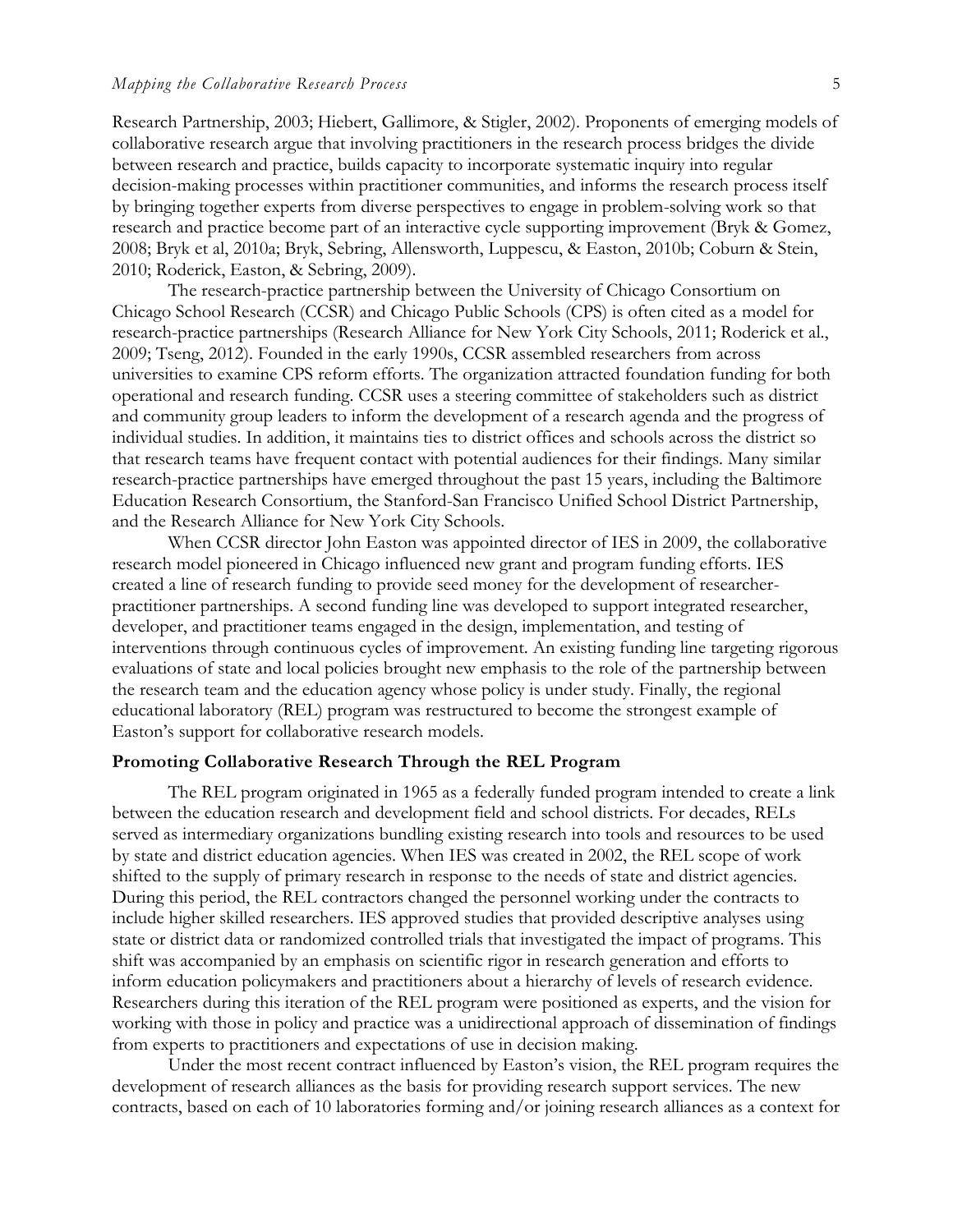Research Partnership, 2003; Hiebert, Gallimore, & Stigler, 2002). Proponents of emerging models of collaborative research argue that involving practitioners in the research process bridges the divide between research and practice, builds capacity to incorporate systematic inquiry into regular decision-making processes within practitioner communities, and informs the research process itself by bringing together experts from diverse perspectives to engage in problem-solving work so that research and practice become part of an interactive cycle supporting improvement (Bryk & Gomez, 2008; Bryk et al, 2010a; Bryk, Sebring, Allensworth, Luppescu, & Easton, 2010b; Coburn & Stein, 2010; Roderick, Easton, & Sebring, 2009).

The research-practice partnership between the University of Chicago Consortium on Chicago School Research (CCSR) and Chicago Public Schools (CPS) is often cited as a model for research-practice partnerships (Research Alliance for New York City Schools, 2011; Roderick et al., 2009; Tseng, 2012). Founded in the early 1990s, CCSR assembled researchers from across universities to examine CPS reform efforts. The organization attracted foundation funding for both operational and research funding. CCSR uses a steering committee of stakeholders such as district and community group leaders to inform the development of a research agenda and the progress of individual studies. In addition, it maintains ties to district offices and schools across the district so that research teams have frequent contact with potential audiences for their findings. Many similar research-practice partnerships have emerged throughout the past 15 years, including the Baltimore Education Research Consortium, the Stanford-San Francisco Unified School District Partnership, and the Research Alliance for New York City Schools.

When CCSR director John Easton was appointed director of IES in 2009, the collaborative research model pioneered in Chicago influenced new grant and program funding efforts. IES created a line of research funding to provide seed money for the development of researcherpractitioner partnerships. A second funding line was developed to support integrated researcher, developer, and practitioner teams engaged in the design, implementation, and testing of interventions through continuous cycles of improvement. An existing funding line targeting rigorous evaluations of state and local policies brought new emphasis to the role of the partnership between the research team and the education agency whose policy is under study. Finally, the regional educational laboratory (REL) program was restructured to become the strongest example of Easton's support for collaborative research models.

#### **Promoting Collaborative Research Through the REL Program**

The REL program originated in 1965 as a federally funded program intended to create a link between the education research and development field and school districts. For decades, RELs served as intermediary organizations bundling existing research into tools and resources to be used by state and district education agencies. When IES was created in 2002, the REL scope of work shifted to the supply of primary research in response to the needs of state and district agencies. During this period, the REL contractors changed the personnel working under the contracts to include higher skilled researchers. IES approved studies that provided descriptive analyses using state or district data or randomized controlled trials that investigated the impact of programs. This shift was accompanied by an emphasis on scientific rigor in research generation and efforts to inform education policymakers and practitioners about a hierarchy of levels of research evidence. Researchers during this iteration of the REL program were positioned as experts, and the vision for working with those in policy and practice was a unidirectional approach of dissemination of findings from experts to practitioners and expectations of use in decision making.

Under the most recent contract influenced by Easton's vision, the REL program requires the development of research alliances as the basis for providing research support services. The new contracts, based on each of 10 laboratories forming and/or joining research alliances as a context for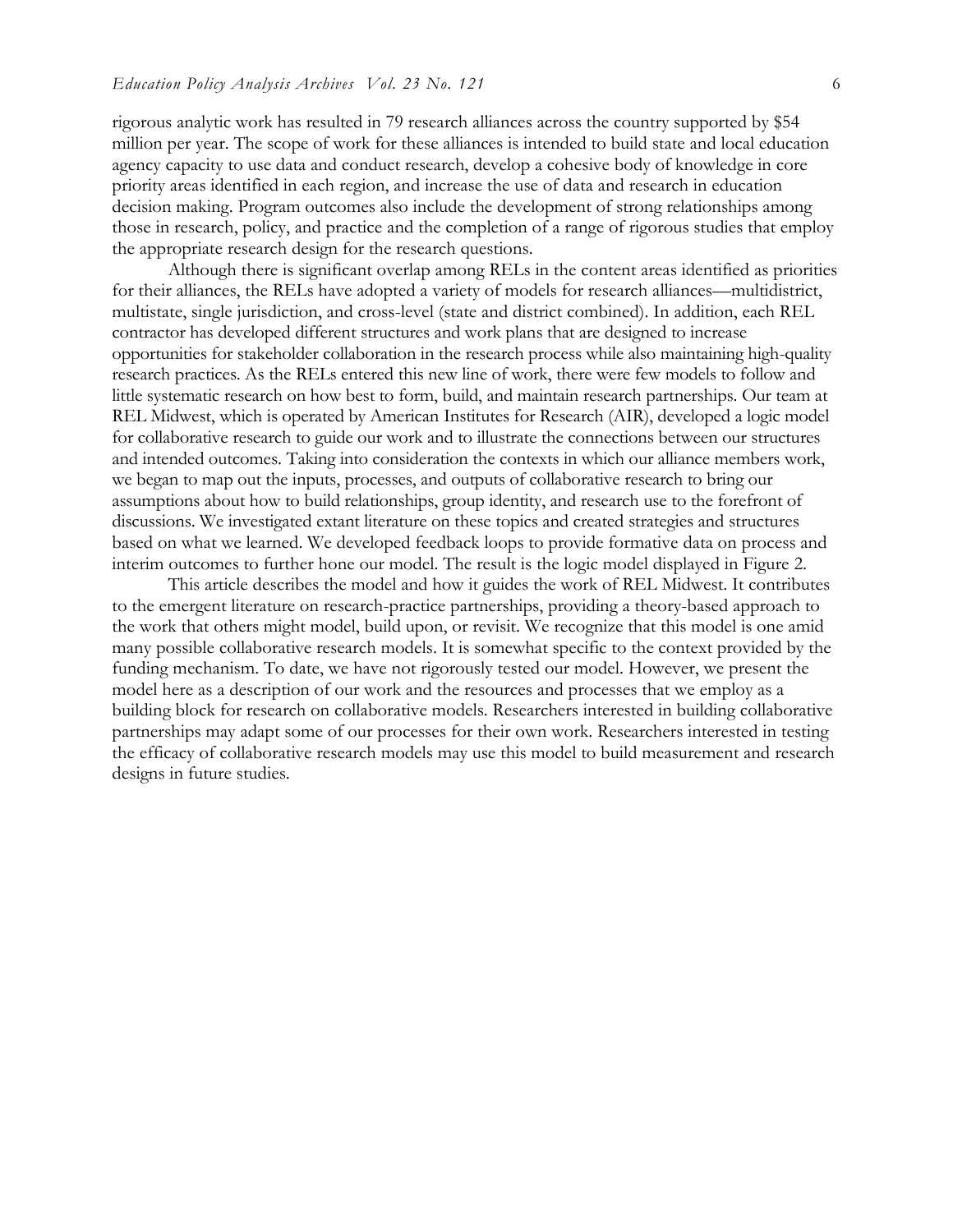rigorous analytic work has resulted in 79 research alliances across the country supported by \$54 million per year. The scope of work for these alliances is intended to build state and local education agency capacity to use data and conduct research, develop a cohesive body of knowledge in core priority areas identified in each region, and increase the use of data and research in education decision making. Program outcomes also include the development of strong relationships among those in research, policy, and practice and the completion of a range of rigorous studies that employ the appropriate research design for the research questions.

Although there is significant overlap among RELs in the content areas identified as priorities for their alliances, the RELs have adopted a variety of models for research alliances—multidistrict, multistate, single jurisdiction, and cross-level (state and district combined). In addition, each REL contractor has developed different structures and work plans that are designed to increase opportunities for stakeholder collaboration in the research process while also maintaining high-quality research practices. As the RELs entered this new line of work, there were few models to follow and little systematic research on how best to form, build, and maintain research partnerships. Our team at REL Midwest, which is operated by American Institutes for Research (AIR), developed a logic model for collaborative research to guide our work and to illustrate the connections between our structures and intended outcomes. Taking into consideration the contexts in which our alliance members work, we began to map out the inputs, processes, and outputs of collaborative research to bring our assumptions about how to build relationships, group identity, and research use to the forefront of discussions. We investigated extant literature on these topics and created strategies and structures based on what we learned. We developed feedback loops to provide formative data on process and interim outcomes to further hone our model. The result is the logic model displayed in Figure 2.

This article describes the model and how it guides the work of REL Midwest. It contributes to the emergent literature on research-practice partnerships, providing a theory-based approach to the work that others might model, build upon, or revisit. We recognize that this model is one amid many possible collaborative research models. It is somewhat specific to the context provided by the funding mechanism. To date, we have not rigorously tested our model. However, we present the model here as a description of our work and the resources and processes that we employ as a building block for research on collaborative models. Researchers interested in building collaborative partnerships may adapt some of our processes for their own work. Researchers interested in testing the efficacy of collaborative research models may use this model to build measurement and research designs in future studies.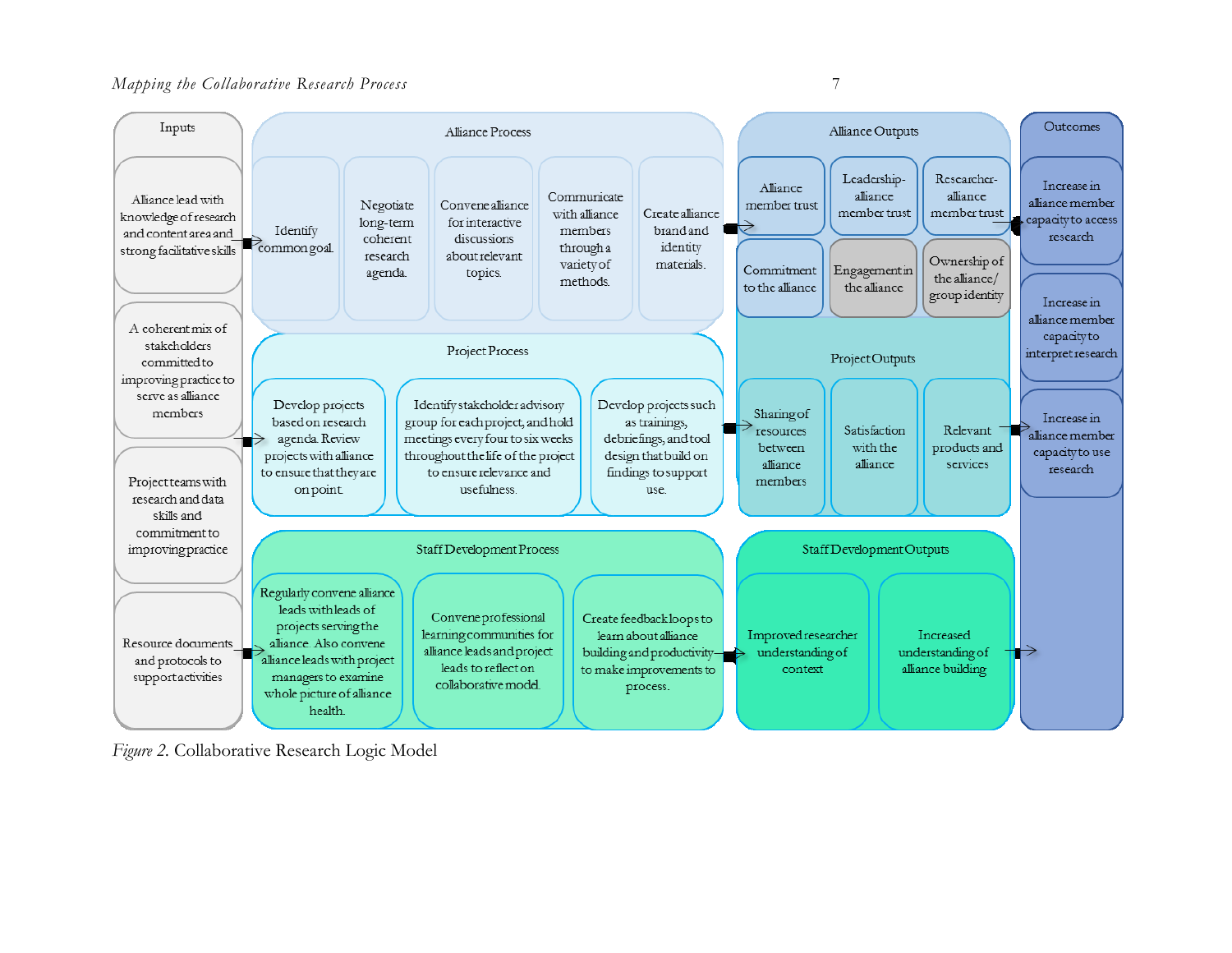#### *Mapping the Collaborative Research Process* 7



*Figure 2.* Collaborative Research Logic Model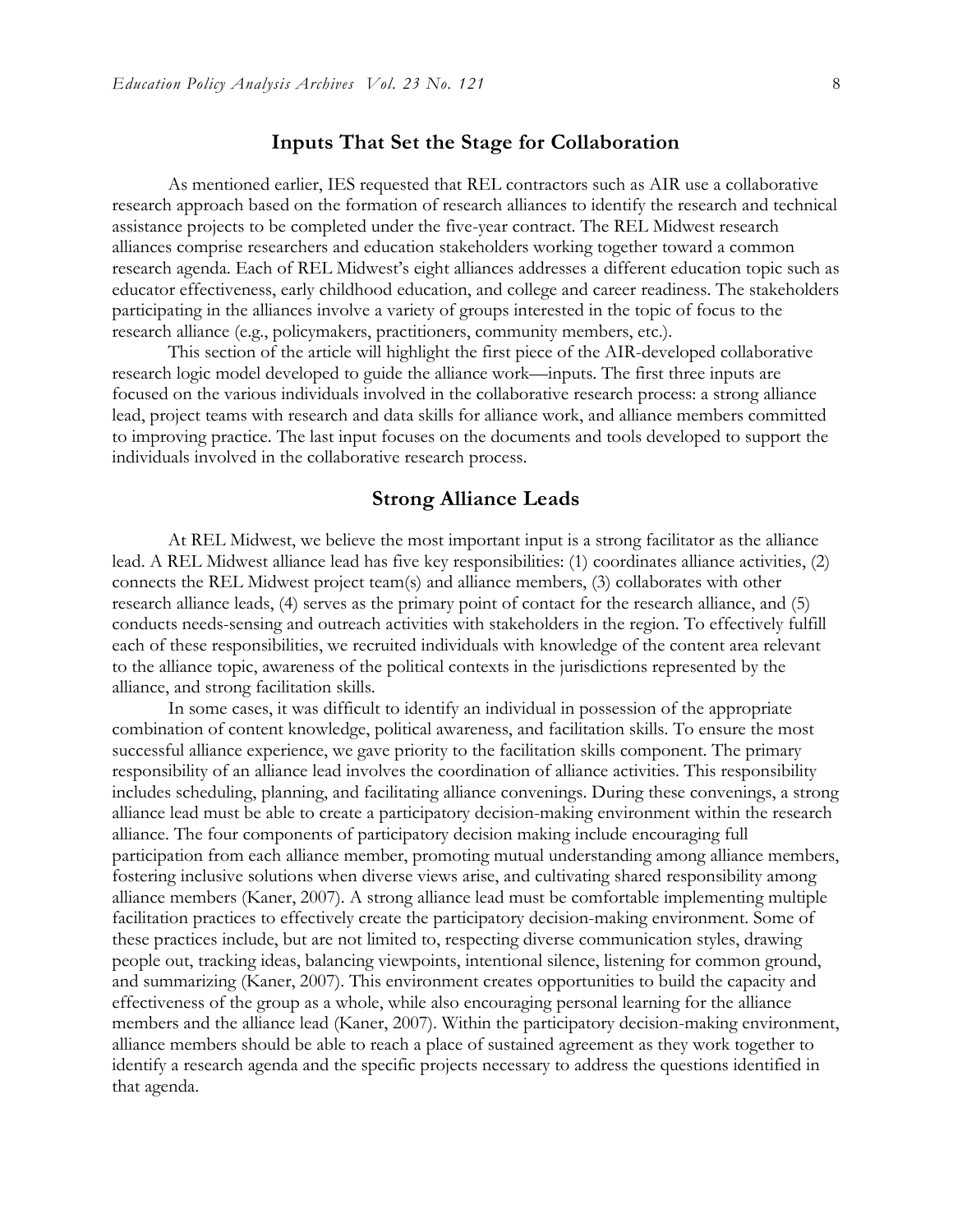#### **Inputs That Set the Stage for Collaboration**

As mentioned earlier, IES requested that REL contractors such as AIR use a collaborative research approach based on the formation of research alliances to identify the research and technical assistance projects to be completed under the five-year contract. The REL Midwest research alliances comprise researchers and education stakeholders working together toward a common research agenda. Each of REL Midwest's eight alliances addresses a different education topic such as educator effectiveness, early childhood education, and college and career readiness. The stakeholders participating in the alliances involve a variety of groups interested in the topic of focus to the research alliance (e.g., policymakers, practitioners, community members, etc.).

This section of the article will highlight the first piece of the AIR-developed collaborative research logic model developed to guide the alliance work—inputs. The first three inputs are focused on the various individuals involved in the collaborative research process: a strong alliance lead, project teams with research and data skills for alliance work, and alliance members committed to improving practice. The last input focuses on the documents and tools developed to support the individuals involved in the collaborative research process.

## **Strong Alliance Leads**

At REL Midwest, we believe the most important input is a strong facilitator as the alliance lead. A REL Midwest alliance lead has five key responsibilities: (1) coordinates alliance activities, (2) connects the REL Midwest project team(s) and alliance members, (3) collaborates with other research alliance leads, (4) serves as the primary point of contact for the research alliance, and (5) conducts needs-sensing and outreach activities with stakeholders in the region. To effectively fulfill each of these responsibilities, we recruited individuals with knowledge of the content area relevant to the alliance topic, awareness of the political contexts in the jurisdictions represented by the alliance, and strong facilitation skills.

In some cases, it was difficult to identify an individual in possession of the appropriate combination of content knowledge, political awareness, and facilitation skills. To ensure the most successful alliance experience, we gave priority to the facilitation skills component. The primary responsibility of an alliance lead involves the coordination of alliance activities. This responsibility includes scheduling, planning, and facilitating alliance convenings. During these convenings, a strong alliance lead must be able to create a participatory decision-making environment within the research alliance. The four components of participatory decision making include encouraging full participation from each alliance member, promoting mutual understanding among alliance members, fostering inclusive solutions when diverse views arise, and cultivating shared responsibility among alliance members (Kaner, 2007). A strong alliance lead must be comfortable implementing multiple facilitation practices to effectively create the participatory decision-making environment. Some of these practices include, but are not limited to, respecting diverse communication styles, drawing people out, tracking ideas, balancing viewpoints, intentional silence, listening for common ground, and summarizing (Kaner, 2007). This environment creates opportunities to build the capacity and effectiveness of the group as a whole, while also encouraging personal learning for the alliance members and the alliance lead (Kaner, 2007). Within the participatory decision-making environment, alliance members should be able to reach a place of sustained agreement as they work together to identify a research agenda and the specific projects necessary to address the questions identified in that agenda.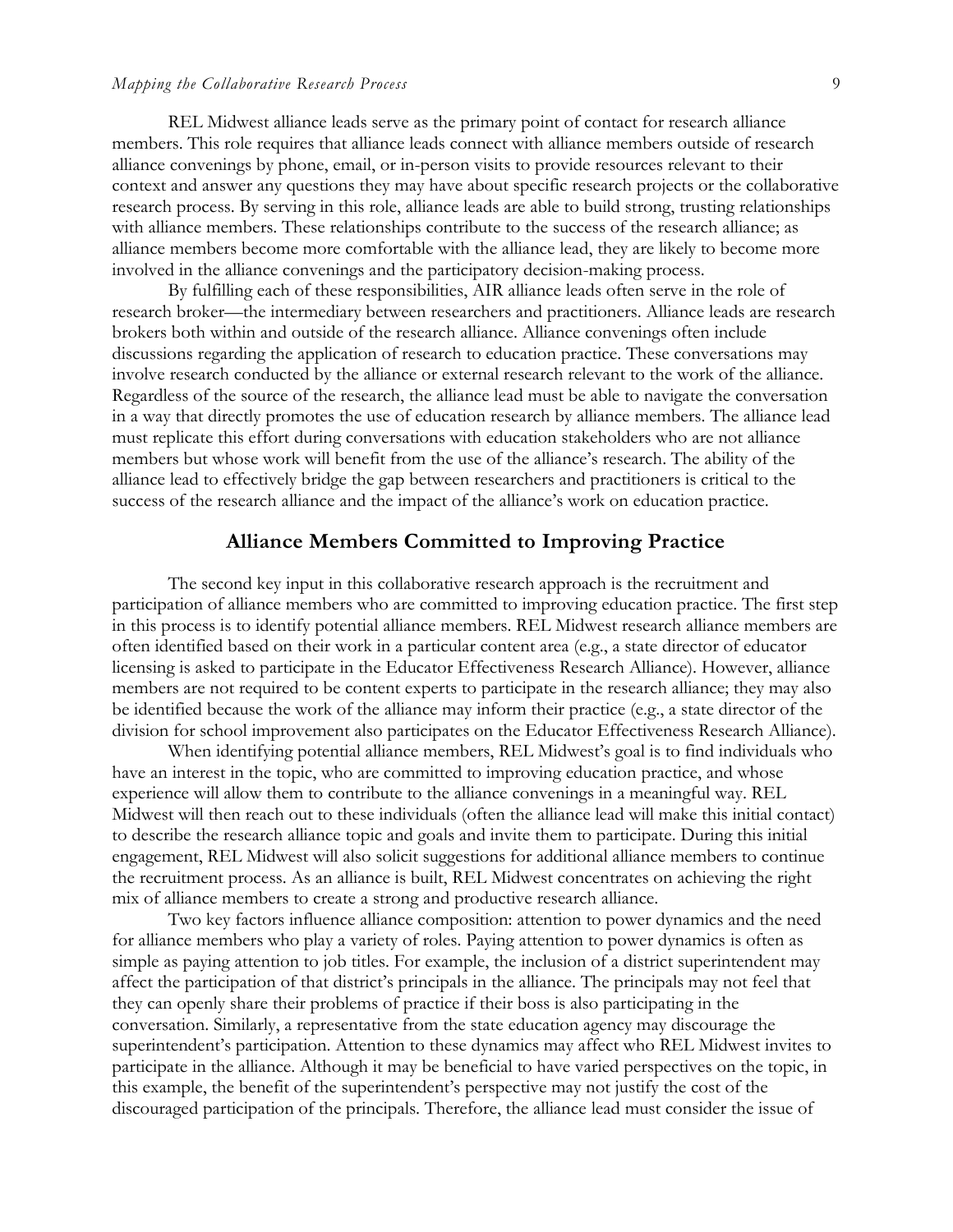#### *Mapping the Collaborative Research Process* 9

REL Midwest alliance leads serve as the primary point of contact for research alliance members. This role requires that alliance leads connect with alliance members outside of research alliance convenings by phone, email, or in-person visits to provide resources relevant to their context and answer any questions they may have about specific research projects or the collaborative research process. By serving in this role, alliance leads are able to build strong, trusting relationships with alliance members. These relationships contribute to the success of the research alliance; as alliance members become more comfortable with the alliance lead, they are likely to become more involved in the alliance convenings and the participatory decision-making process.

By fulfilling each of these responsibilities, AIR alliance leads often serve in the role of research broker—the intermediary between researchers and practitioners. Alliance leads are research brokers both within and outside of the research alliance. Alliance convenings often include discussions regarding the application of research to education practice. These conversations may involve research conducted by the alliance or external research relevant to the work of the alliance. Regardless of the source of the research, the alliance lead must be able to navigate the conversation in a way that directly promotes the use of education research by alliance members. The alliance lead must replicate this effort during conversations with education stakeholders who are not alliance members but whose work will benefit from the use of the alliance's research. The ability of the alliance lead to effectively bridge the gap between researchers and practitioners is critical to the success of the research alliance and the impact of the alliance's work on education practice.

#### **Alliance Members Committed to Improving Practice**

The second key input in this collaborative research approach is the recruitment and participation of alliance members who are committed to improving education practice. The first step in this process is to identify potential alliance members. REL Midwest research alliance members are often identified based on their work in a particular content area (e.g., a state director of educator licensing is asked to participate in the Educator Effectiveness Research Alliance). However, alliance members are not required to be content experts to participate in the research alliance; they may also be identified because the work of the alliance may inform their practice (e.g., a state director of the division for school improvement also participates on the Educator Effectiveness Research Alliance).

When identifying potential alliance members, REL Midwest's goal is to find individuals who have an interest in the topic, who are committed to improving education practice, and whose experience will allow them to contribute to the alliance convenings in a meaningful way. REL Midwest will then reach out to these individuals (often the alliance lead will make this initial contact) to describe the research alliance topic and goals and invite them to participate. During this initial engagement, REL Midwest will also solicit suggestions for additional alliance members to continue the recruitment process. As an alliance is built, REL Midwest concentrates on achieving the right mix of alliance members to create a strong and productive research alliance.

Two key factors influence alliance composition: attention to power dynamics and the need for alliance members who play a variety of roles. Paying attention to power dynamics is often as simple as paying attention to job titles. For example, the inclusion of a district superintendent may affect the participation of that district's principals in the alliance. The principals may not feel that they can openly share their problems of practice if their boss is also participating in the conversation. Similarly, a representative from the state education agency may discourage the superintendent's participation. Attention to these dynamics may affect who REL Midwest invites to participate in the alliance. Although it may be beneficial to have varied perspectives on the topic, in this example, the benefit of the superintendent's perspective may not justify the cost of the discouraged participation of the principals. Therefore, the alliance lead must consider the issue of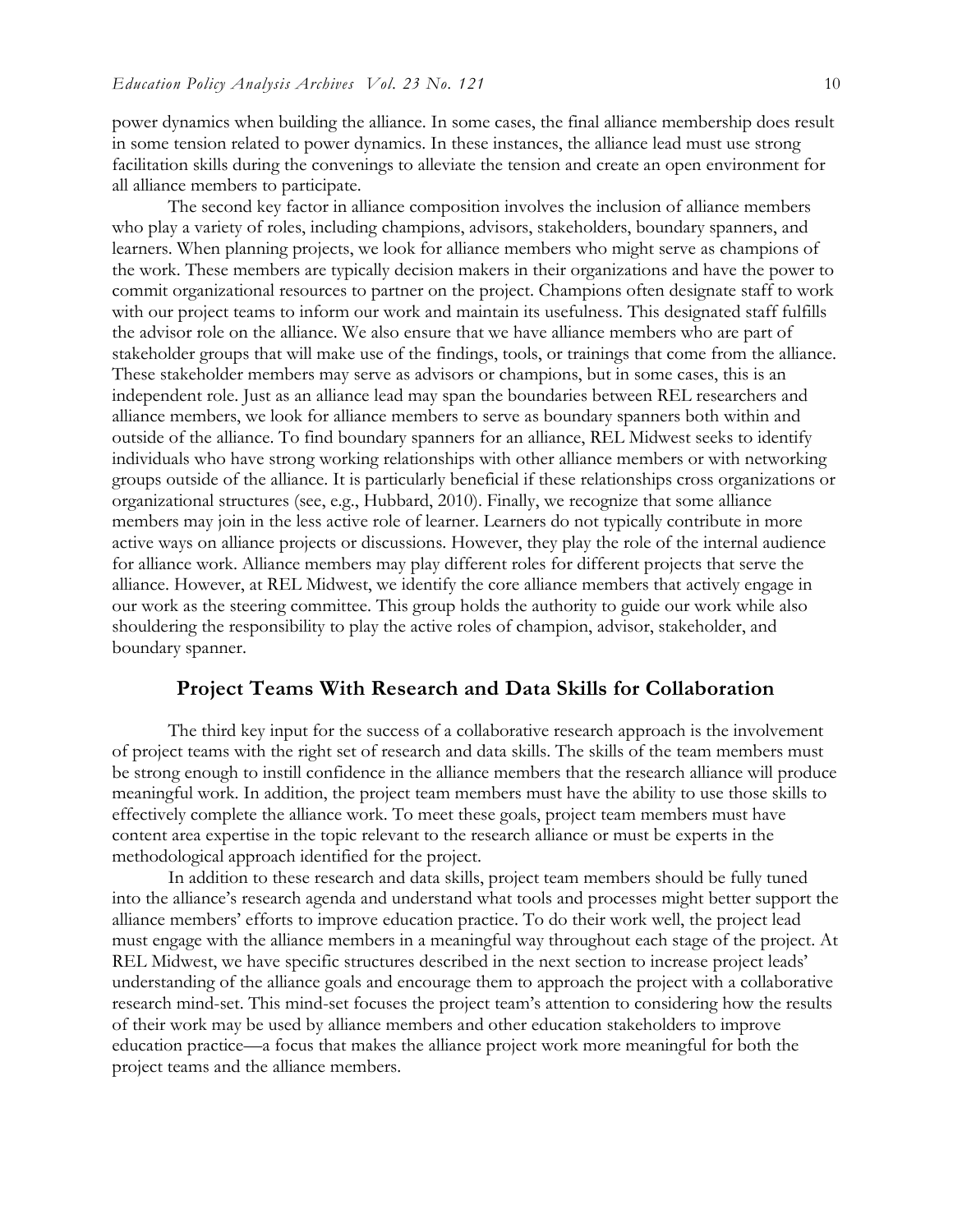power dynamics when building the alliance. In some cases, the final alliance membership does result in some tension related to power dynamics. In these instances, the alliance lead must use strong facilitation skills during the convenings to alleviate the tension and create an open environment for all alliance members to participate.

The second key factor in alliance composition involves the inclusion of alliance members who play a variety of roles, including champions, advisors, stakeholders, boundary spanners, and learners. When planning projects, we look for alliance members who might serve as champions of the work. These members are typically decision makers in their organizations and have the power to commit organizational resources to partner on the project. Champions often designate staff to work with our project teams to inform our work and maintain its usefulness. This designated staff fulfills the advisor role on the alliance. We also ensure that we have alliance members who are part of stakeholder groups that will make use of the findings, tools, or trainings that come from the alliance. These stakeholder members may serve as advisors or champions, but in some cases, this is an independent role. Just as an alliance lead may span the boundaries between REL researchers and alliance members, we look for alliance members to serve as boundary spanners both within and outside of the alliance. To find boundary spanners for an alliance, REL Midwest seeks to identify individuals who have strong working relationships with other alliance members or with networking groups outside of the alliance. It is particularly beneficial if these relationships cross organizations or organizational structures (see, e.g., Hubbard, 2010). Finally, we recognize that some alliance members may join in the less active role of learner. Learners do not typically contribute in more active ways on alliance projects or discussions. However, they play the role of the internal audience for alliance work. Alliance members may play different roles for different projects that serve the alliance. However, at REL Midwest, we identify the core alliance members that actively engage in our work as the steering committee. This group holds the authority to guide our work while also shouldering the responsibility to play the active roles of champion, advisor, stakeholder, and boundary spanner.

#### **Project Teams With Research and Data Skills for Collaboration**

The third key input for the success of a collaborative research approach is the involvement of project teams with the right set of research and data skills. The skills of the team members must be strong enough to instill confidence in the alliance members that the research alliance will produce meaningful work. In addition, the project team members must have the ability to use those skills to effectively complete the alliance work. To meet these goals, project team members must have content area expertise in the topic relevant to the research alliance or must be experts in the methodological approach identified for the project.

In addition to these research and data skills, project team members should be fully tuned into the alliance's research agenda and understand what tools and processes might better support the alliance members' efforts to improve education practice. To do their work well, the project lead must engage with the alliance members in a meaningful way throughout each stage of the project. At REL Midwest, we have specific structures described in the next section to increase project leads' understanding of the alliance goals and encourage them to approach the project with a collaborative research mind-set. This mind-set focuses the project team's attention to considering how the results of their work may be used by alliance members and other education stakeholders to improve education practice—a focus that makes the alliance project work more meaningful for both the project teams and the alliance members.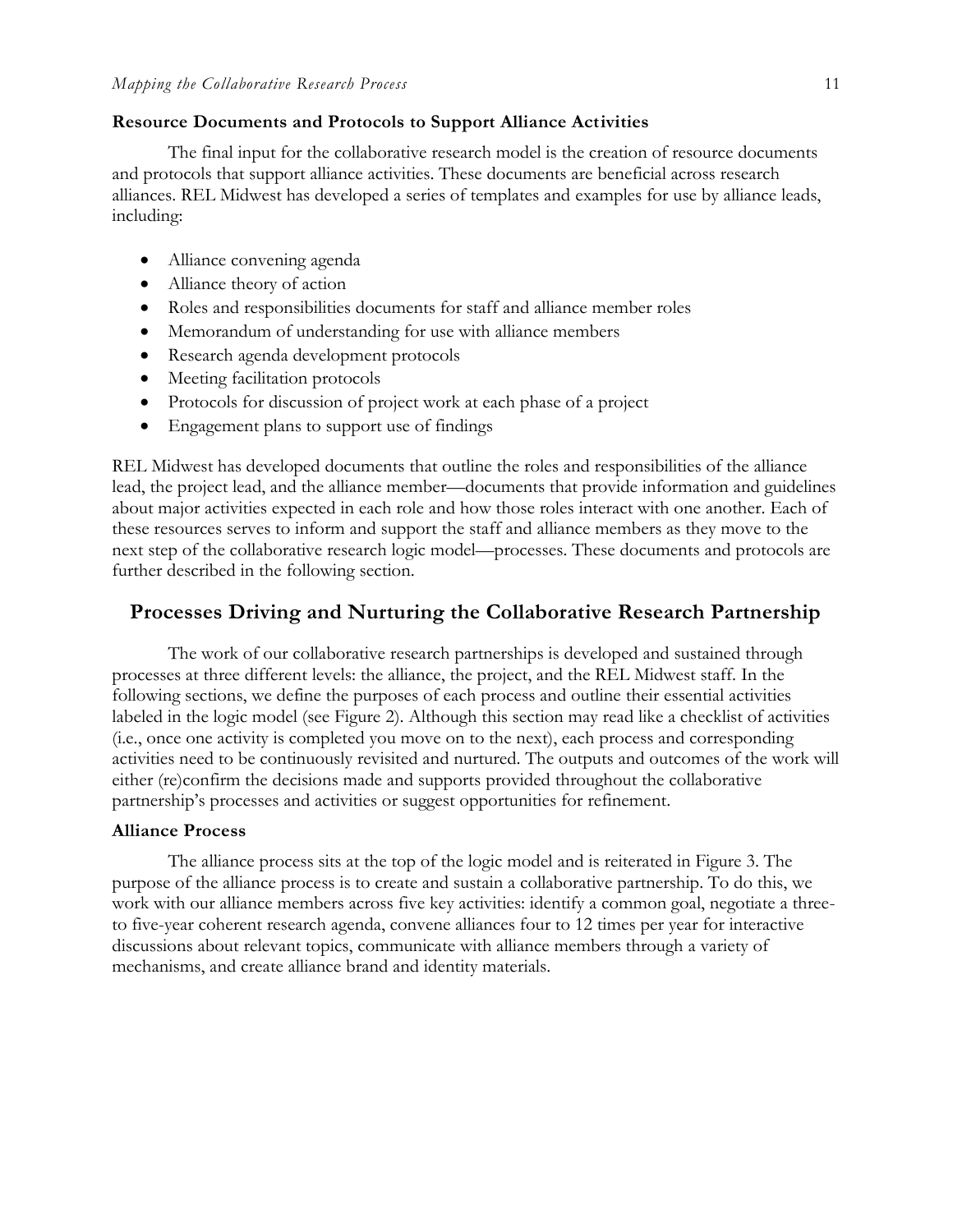### **Resource Documents and Protocols to Support Alliance Activities**

The final input for the collaborative research model is the creation of resource documents and protocols that support alliance activities. These documents are beneficial across research alliances. REL Midwest has developed a series of templates and examples for use by alliance leads, including:

- Alliance convening agenda
- Alliance theory of action
- Roles and responsibilities documents for staff and alliance member roles
- Memorandum of understanding for use with alliance members
- Research agenda development protocols
- Meeting facilitation protocols
- Protocols for discussion of project work at each phase of a project
- Engagement plans to support use of findings

REL Midwest has developed documents that outline the roles and responsibilities of the alliance lead, the project lead, and the alliance member—documents that provide information and guidelines about major activities expected in each role and how those roles interact with one another. Each of these resources serves to inform and support the staff and alliance members as they move to the next step of the collaborative research logic model—processes. These documents and protocols are further described in the following section.

#### **Processes Driving and Nurturing the Collaborative Research Partnership**

The work of our collaborative research partnerships is developed and sustained through processes at three different levels: the alliance, the project, and the REL Midwest staff. In the following sections, we define the purposes of each process and outline their essential activities labeled in the logic model (see Figure 2). Although this section may read like a checklist of activities (i.e., once one activity is completed you move on to the next), each process and corresponding activities need to be continuously revisited and nurtured. The outputs and outcomes of the work will either (re)confirm the decisions made and supports provided throughout the collaborative partnership's processes and activities or suggest opportunities for refinement.

#### **Alliance Process**

The alliance process sits at the top of the logic model and is reiterated in Figure 3. The purpose of the alliance process is to create and sustain a collaborative partnership. To do this, we work with our alliance members across five key activities: identify a common goal, negotiate a threeto five-year coherent research agenda, convene alliances four to 12 times per year for interactive discussions about relevant topics, communicate with alliance members through a variety of mechanisms, and create alliance brand and identity materials.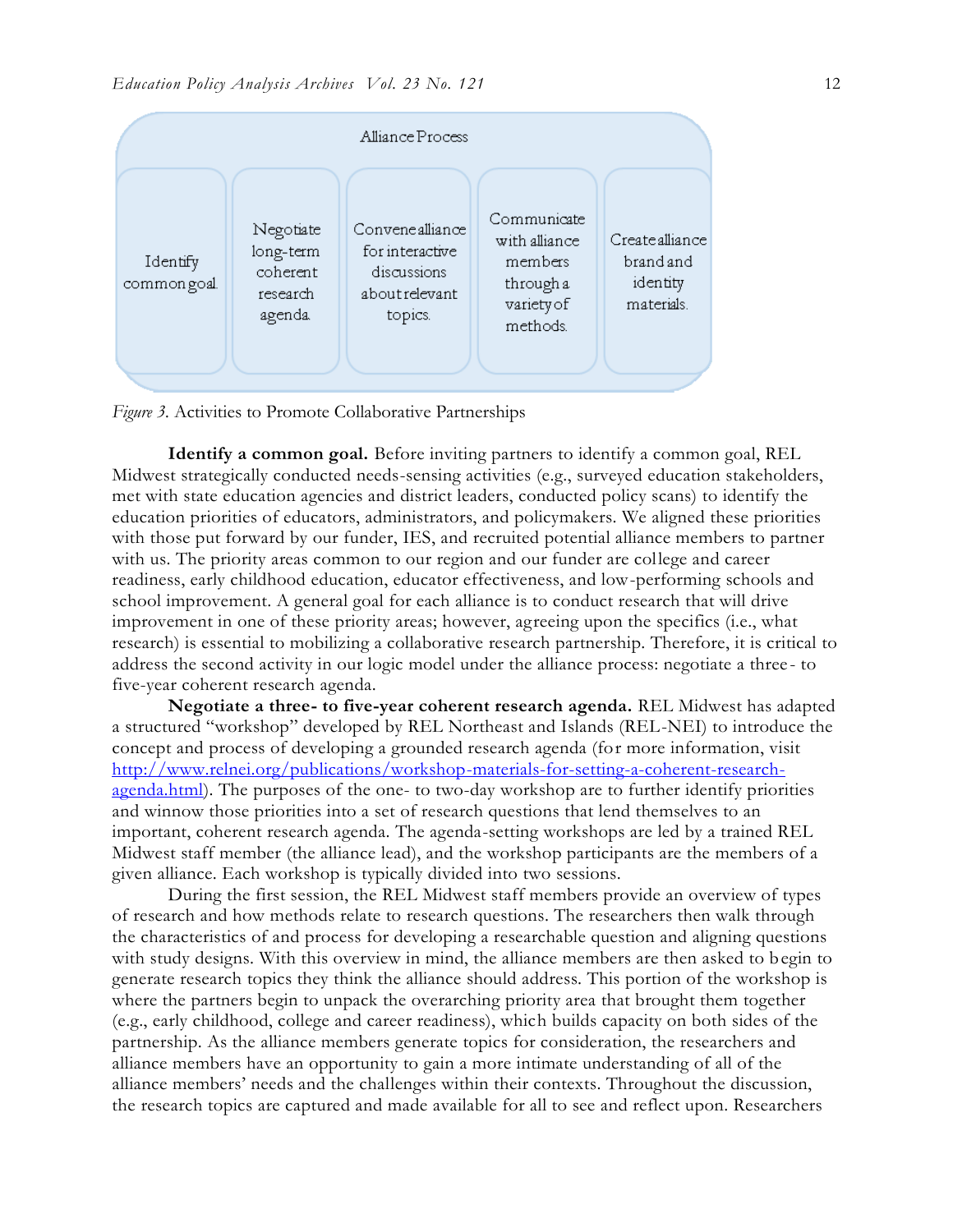

*Figure 3.* Activities to Promote Collaborative Partnerships

**Identify a common goal.** Before inviting partners to identify a common goal, REL Midwest strategically conducted needs-sensing activities (e.g., surveyed education stakeholders, met with state education agencies and district leaders, conducted policy scans) to identify the education priorities of educators, administrators, and policymakers. We aligned these priorities with those put forward by our funder, IES, and recruited potential alliance members to partner with us. The priority areas common to our region and our funder are college and career readiness, early childhood education, educator effectiveness, and low-performing schools and school improvement. A general goal for each alliance is to conduct research that will drive improvement in one of these priority areas; however, agreeing upon the specifics (i.e., what research) is essential to mobilizing a collaborative research partnership. Therefore, it is critical to address the second activity in our logic model under the alliance process: negotiate a three - to five-year coherent research agenda.

**Negotiate a three- to five-year coherent research agenda.** REL Midwest has adapted a structured "workshop" developed by REL Northeast and Islands (REL-NEI) to introduce the concept and process of developing a grounded research agenda (for more information, visit [http://www.relnei.org/publications/workshop-materials-for-setting-a-coherent-research](http://www.relnei.org/publications/workshop-materials-for-setting-a-coherent-research-agenda.html)[agenda.html\)](http://www.relnei.org/publications/workshop-materials-for-setting-a-coherent-research-agenda.html). The purposes of the one- to two-day workshop are to further identify priorities and winnow those priorities into a set of research questions that lend themselves to an important, coherent research agenda. The agenda-setting workshops are led by a trained REL Midwest staff member (the alliance lead), and the workshop participants are the members of a given alliance. Each workshop is typically divided into two sessions.

During the first session, the REL Midwest staff members provide an overview of types of research and how methods relate to research questions. The researchers then walk through the characteristics of and process for developing a researchable question and aligning questions with study designs. With this overview in mind, the alliance members are then asked to begin to generate research topics they think the alliance should address. This portion of the workshop is where the partners begin to unpack the overarching priority area that brought them together (e.g., early childhood, college and career readiness), which builds capacity on both sides of the partnership. As the alliance members generate topics for consideration, the researchers and alliance members have an opportunity to gain a more intimate understanding of all of the alliance members' needs and the challenges within their contexts. Throughout the discussion, the research topics are captured and made available for all to see and reflect upon. Researchers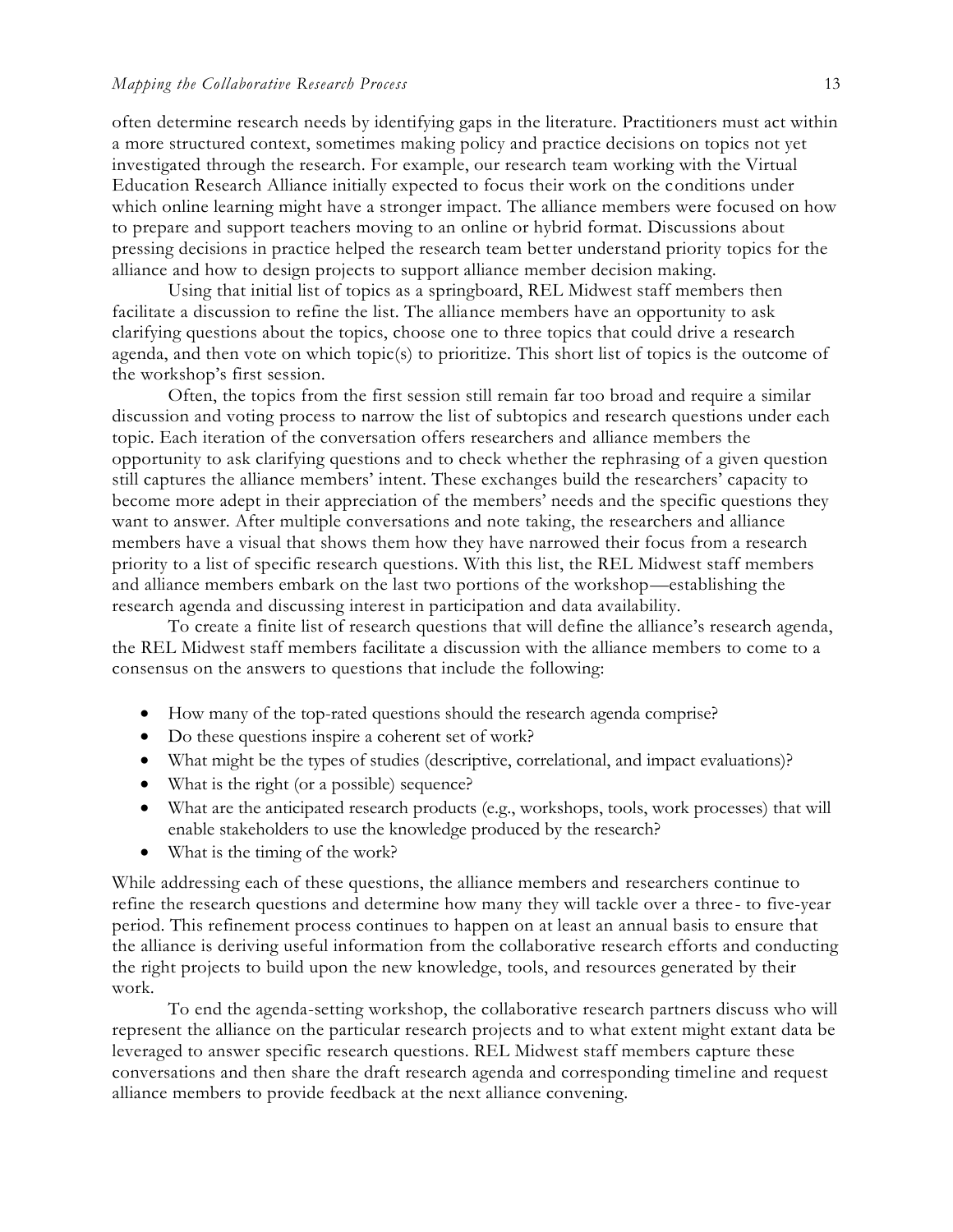often determine research needs by identifying gaps in the literature. Practitioners must act within a more structured context, sometimes making policy and practice decisions on topics not yet investigated through the research. For example, our research team working with the Virtual Education Research Alliance initially expected to focus their work on the conditions under which online learning might have a stronger impact. The alliance members were focused on how to prepare and support teachers moving to an online or hybrid format. Discussions about pressing decisions in practice helped the research team better understand priority topics for the alliance and how to design projects to support alliance member decision making.

Using that initial list of topics as a springboard, REL Midwest staff members then facilitate a discussion to refine the list. The alliance members have an opportunity to ask clarifying questions about the topics, choose one to three topics that could drive a research agenda, and then vote on which topic(s) to prioritize. This short list of topics is the outcome of the workshop's first session.

Often, the topics from the first session still remain far too broad and require a similar discussion and voting process to narrow the list of subtopics and research questions under each topic. Each iteration of the conversation offers researchers and alliance members the opportunity to ask clarifying questions and to check whether the rephrasing of a given question still captures the alliance members' intent. These exchanges build the researchers' capacity to become more adept in their appreciation of the members' needs and the specific questions they want to answer. After multiple conversations and note taking, the researchers and alliance members have a visual that shows them how they have narrowed their focus from a research priority to a list of specific research questions. With this list, the REL Midwest staff members and alliance members embark on the last two portions of the workshop—establishing the research agenda and discussing interest in participation and data availability.

To create a finite list of research questions that will define the alliance's research agenda, the REL Midwest staff members facilitate a discussion with the alliance members to come to a consensus on the answers to questions that include the following:

- How many of the top-rated questions should the research agenda comprise?
- Do these questions inspire a coherent set of work?
- What might be the types of studies (descriptive, correlational, and impact evaluations)?
- What is the right (or a possible) sequence?
- What are the anticipated research products (e.g., workshops, tools, work processes) that will enable stakeholders to use the knowledge produced by the research?
- What is the timing of the work?

While addressing each of these questions, the alliance members and researchers continue to refine the research questions and determine how many they will tackle over a three - to five-year period. This refinement process continues to happen on at least an annual basis to ensure that the alliance is deriving useful information from the collaborative research efforts and conducting the right projects to build upon the new knowledge, tools, and resources generated by their work.

To end the agenda-setting workshop, the collaborative research partners discuss who will represent the alliance on the particular research projects and to what extent might extant data be leveraged to answer specific research questions. REL Midwest staff members capture these conversations and then share the draft research agenda and corresponding timeline and request alliance members to provide feedback at the next alliance convening.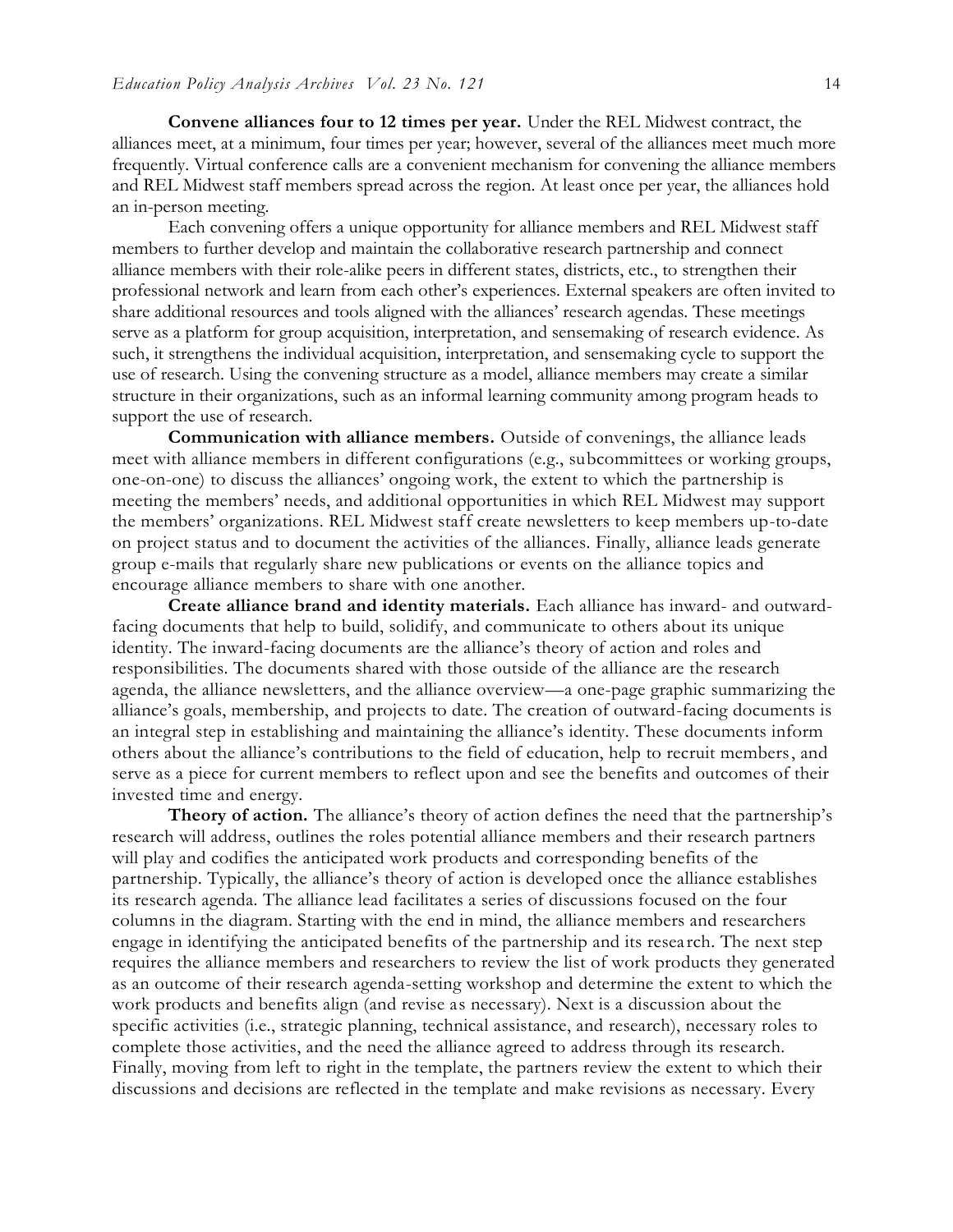**Convene alliances four to 12 times per year.** Under the REL Midwest contract, the alliances meet, at a minimum, four times per year; however, several of the alliances meet much more frequently. Virtual conference calls are a convenient mechanism for convening the alliance members and REL Midwest staff members spread across the region. At least once per year, the alliances hold an in-person meeting.

Each convening offers a unique opportunity for alliance members and REL Midwest staff members to further develop and maintain the collaborative research partnership and connect alliance members with their role-alike peers in different states, districts, etc., to strengthen their professional network and learn from each other's experiences. External speakers are often invited to share additional resources and tools aligned with the alliances' research agendas. These meetings serve as a platform for group acquisition, interpretation, and sensemaking of research evidence. As such, it strengthens the individual acquisition, interpretation, and sensemaking cycle to support the use of research. Using the convening structure as a model, alliance members may create a similar structure in their organizations, such as an informal learning community among program heads to support the use of research.

**Communication with alliance members.** Outside of convenings, the alliance leads meet with alliance members in different configurations (e.g., subcommittees or working groups, one-on-one) to discuss the alliances' ongoing work, the extent to which the partnership is meeting the members' needs, and additional opportunities in which REL Midwest may support the members' organizations. REL Midwest staff create newsletters to keep members up-to-date on project status and to document the activities of the alliances. Finally, alliance leads generate group e-mails that regularly share new publications or events on the alliance topics and encourage alliance members to share with one another.

**Create alliance brand and identity materials.** Each alliance has inward- and outwardfacing documents that help to build, solidify, and communicate to others about its unique identity. The inward-facing documents are the alliance's theory of action and roles and responsibilities. The documents shared with those outside of the alliance are the research agenda, the alliance newsletters, and the alliance overview—a one-page graphic summarizing the alliance's goals, membership, and projects to date. The creation of outward-facing documents is an integral step in establishing and maintaining the alliance's identity. These documents inform others about the alliance's contributions to the field of education, help to recruit members, and serve as a piece for current members to reflect upon and see the benefits and outcomes of their invested time and energy.

**Theory of action.** The alliance's theory of action defines the need that the partnership's research will address, outlines the roles potential alliance members and their research partners will play and codifies the anticipated work products and corresponding benefits of the partnership. Typically, the alliance's theory of action is developed once the alliance establishes its research agenda. The alliance lead facilitates a series of discussions focused on the four columns in the diagram. Starting with the end in mind, the alliance members and researchers engage in identifying the anticipated benefits of the partnership and its resea rch. The next step requires the alliance members and researchers to review the list of work products they generated as an outcome of their research agenda-setting workshop and determine the extent to which the work products and benefits align (and revise as necessary). Next is a discussion about the specific activities (i.e., strategic planning, technical assistance, and research), necessary roles to complete those activities, and the need the alliance agreed to address through its research. Finally, moving from left to right in the template, the partners review the extent to which their discussions and decisions are reflected in the template and make revisions as necessary. Every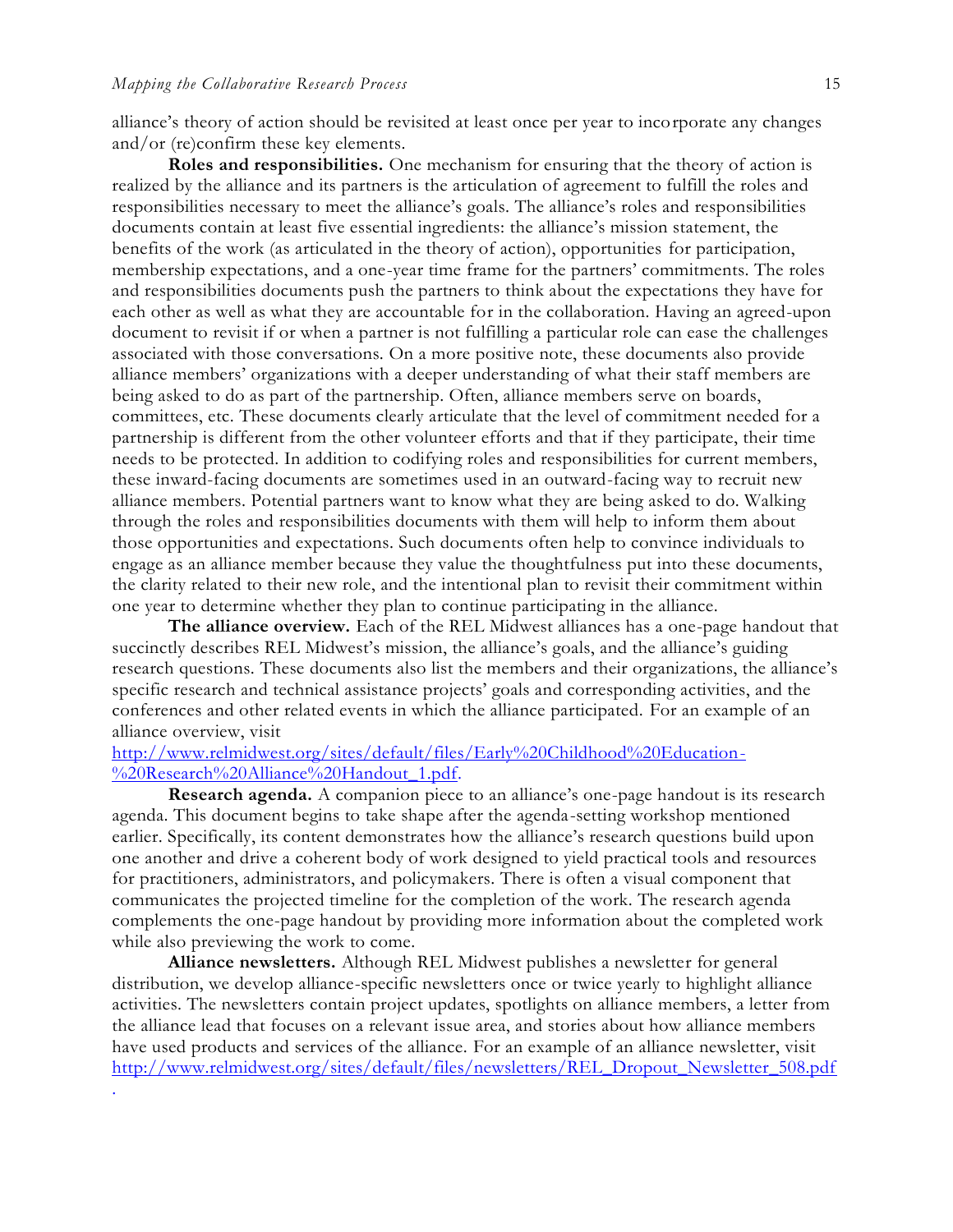.

alliance's theory of action should be revisited at least once per year to incorporate any changes and/or (re)confirm these key elements.

**Roles and responsibilities.** One mechanism for ensuring that the theory of action is realized by the alliance and its partners is the articulation of agreement to fulfill the roles and responsibilities necessary to meet the alliance's goals. The alliance's roles and responsibilities documents contain at least five essential ingredients: the alliance's mission statement, the benefits of the work (as articulated in the theory of action), opportunities for participation, membership expectations, and a one-year time frame for the partners' commitments. The roles and responsibilities documents push the partners to think about the expectations they have for each other as well as what they are accountable for in the collaboration. Having an agreed-upon document to revisit if or when a partner is not fulfilling a particular role can ease the challenges associated with those conversations. On a more positive note, these documents also provide alliance members' organizations with a deeper understanding of what their staff members are being asked to do as part of the partnership. Often, alliance members serve on boards, committees, etc. These documents clearly articulate that the level of commitment needed for a partnership is different from the other volunteer efforts and that if they participate, their time needs to be protected. In addition to codifying roles and responsibilities for current members, these inward-facing documents are sometimes used in an outward-facing way to recruit new alliance members. Potential partners want to know what they are being asked to do. Walking through the roles and responsibilities documents with them will help to inform them about those opportunities and expectations. Such documents often help to convince individuals to engage as an alliance member because they value the thoughtfulness put into these documents, the clarity related to their new role, and the intentional plan to revisit their commitment within one year to determine whether they plan to continue participating in the alliance.

**The alliance overview.** Each of the REL Midwest alliances has a one-page handout that succinctly describes REL Midwest's mission, the alliance's goals, and the alliance's guiding research questions. These documents also list the members and their organizations, the alliance's specific research and technical assistance projects' goals and corresponding activities, and the conferences and other related events in which the alliance participated. For an example of an alliance overview, visit

## [http://www.relmidwest.org/sites/default/files/Early%20Childhood%20Education-](http://www.relmidwest.org/sites/default/files/Early%20Childhood%20Education-%20Research%20Alliance%20Handout_1.pdf) [%20Research%20Alliance%20Handout\\_1.pdf.](http://www.relmidwest.org/sites/default/files/Early%20Childhood%20Education-%20Research%20Alliance%20Handout_1.pdf)

**Research agenda.** A companion piece to an alliance's one-page handout is its research agenda. This document begins to take shape after the agenda-setting workshop mentioned earlier. Specifically, its content demonstrates how the alliance's research questions build upon one another and drive a coherent body of work designed to yield practical tools and resources for practitioners, administrators, and policymakers. There is often a visual component that communicates the projected timeline for the completion of the work. The research agenda complements the one-page handout by providing more information about the completed work while also previewing the work to come.

**Alliance newsletters.** Although REL Midwest publishes a newsletter for general distribution, we develop alliance-specific newsletters once or twice yearly to highlight alliance activities. The newsletters contain project updates, spotlights on alliance members, a letter from the alliance lead that focuses on a relevant issue area, and stories about how alliance members have used products and services of the alliance. For an example of an alliance newsletter, visit [http://www.relmidwest.org/sites/default/files/newsletters/REL\\_Dropout\\_Newsletter\\_508.pdf](http://www.relmidwest.org/sites/default/files/newsletters/REL_Dropout_Newsletter_508.pdf)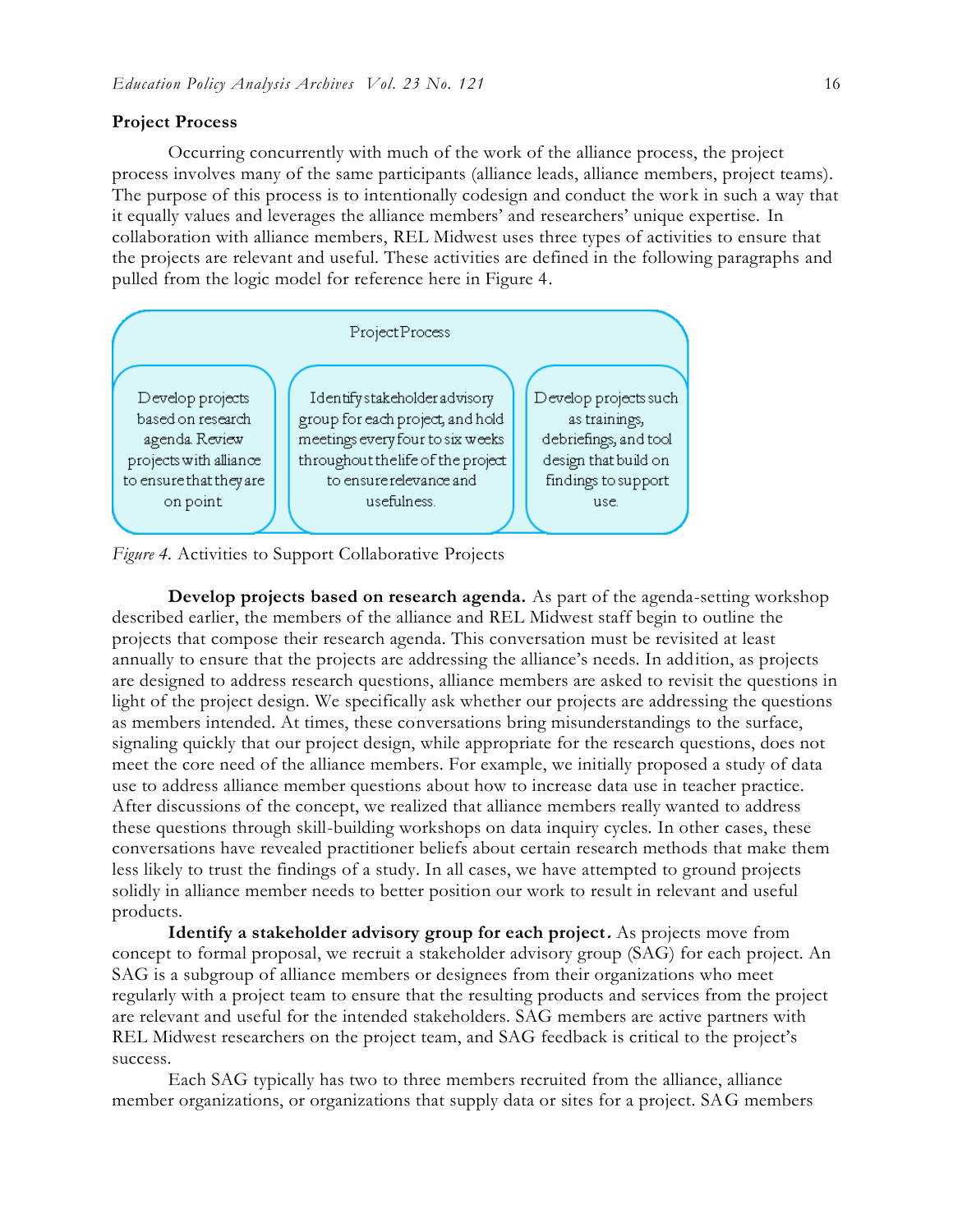#### **Project Process**

Occurring concurrently with much of the work of the alliance process, the project process involves many of the same participants (alliance leads, alliance members, project teams). The purpose of this process is to intentionally codesign and conduct the work in such a way that it equally values and leverages the alliance members' and researchers' unique expertise. In collaboration with alliance members, REL Midwest uses three types of activities to ensure that the projects are relevant and useful. These activities are defined in the following paragraphs and pulled from the logic model for reference here in Figure 4.



*Figure 4.* Activities to Support Collaborative Projects

**Develop projects based on research agenda.** As part of the agenda-setting workshop described earlier, the members of the alliance and REL Midwest staff begin to outline the projects that compose their research agenda. This conversation must be revisited at least annually to ensure that the projects are addressing the alliance's needs. In addition, as projects are designed to address research questions, alliance members are asked to revisit the questions in light of the project design. We specifically ask whether our projects are addressing the questions as members intended. At times, these conversations bring misunderstandings to the surface, signaling quickly that our project design, while appropriate for the research questions, does not meet the core need of the alliance members. For example, we initially proposed a study of data use to address alliance member questions about how to increase data use in teacher practice. After discussions of the concept, we realized that alliance members really wanted to address these questions through skill-building workshops on data inquiry cycles. In other cases, these conversations have revealed practitioner beliefs about certain research methods that make them less likely to trust the findings of a study. In all cases, we have attempted to ground projects solidly in alliance member needs to better position our work to result in relevant and useful products.

**Identify a stakeholder advisory group for each project.** As projects move from concept to formal proposal, we recruit a stakeholder advisory group (SAG) for each project. An SAG is a subgroup of alliance members or designees from their organizations who meet regularly with a project team to ensure that the resulting products and services from the project are relevant and useful for the intended stakeholders. SAG members are active partners with REL Midwest researchers on the project team, and SAG feedback is critical to the project's success.

Each SAG typically has two to three members recruited from the alliance, alliance member organizations, or organizations that supply data or sites for a project. SAG members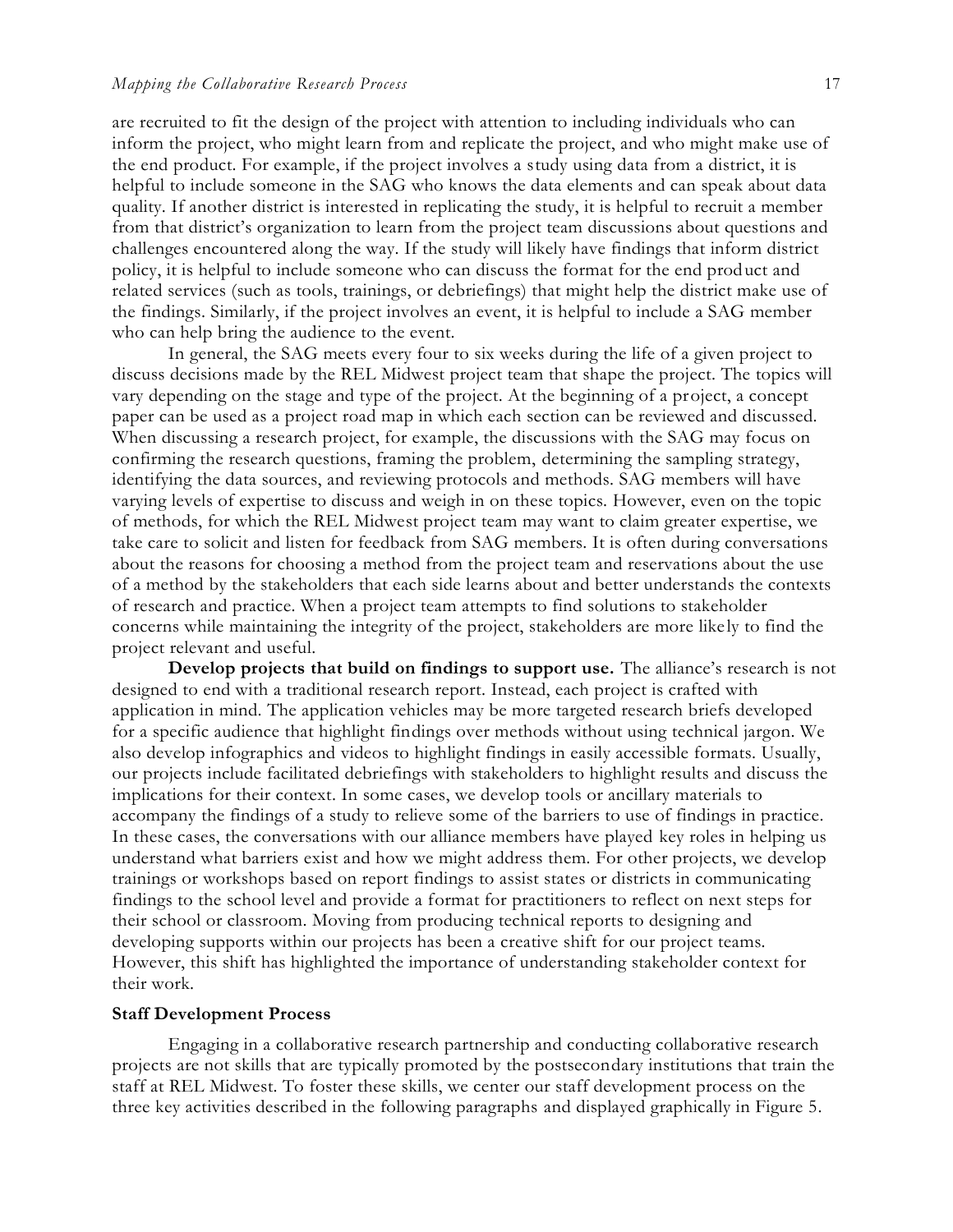are recruited to fit the design of the project with attention to including individuals who can inform the project, who might learn from and replicate the project, and who might make use of the end product. For example, if the project involves a study using data from a district, it is helpful to include someone in the SAG who knows the data elements and can speak about data quality. If another district is interested in replicating the study, it is helpful to recruit a member from that district's organization to learn from the project team discussions about questions and challenges encountered along the way. If the study will likely have findings that inform district policy, it is helpful to include someone who can discuss the format for the end product and related services (such as tools, trainings, or debriefings) that might help the district make use of the findings. Similarly, if the project involves an event, it is helpful to include a SAG member who can help bring the audience to the event.

In general, the SAG meets every four to six weeks during the life of a given project to discuss decisions made by the REL Midwest project team that shape the project. The topics will vary depending on the stage and type of the project. At the beginning of a project, a concept paper can be used as a project road map in which each section can be reviewed and discussed. When discussing a research project, for example, the discussions with the SAG may focus on confirming the research questions, framing the problem, determining the sampling strategy, identifying the data sources, and reviewing protocols and methods. SAG members will have varying levels of expertise to discuss and weigh in on these topics. However, even on the topic of methods, for which the REL Midwest project team may want to claim greater expertise, we take care to solicit and listen for feedback from SAG members. It is often during conversations about the reasons for choosing a method from the project team and reservations about the use of a method by the stakeholders that each side learns about and better understands the contexts of research and practice. When a project team attempts to find solutions to stakeholder concerns while maintaining the integrity of the project, stakeholders are more likely to find the project relevant and useful.

**Develop projects that build on findings to support use.** The alliance's research is not designed to end with a traditional research report. Instead, each project is crafted with application in mind. The application vehicles may be more targeted research briefs developed for a specific audience that highlight findings over methods without using technical jargon. We also develop infographics and videos to highlight findings in easily accessible formats. Usually, our projects include facilitated debriefings with stakeholders to highlight results and discuss the implications for their context. In some cases, we develop tools or ancillary materials to accompany the findings of a study to relieve some of the barriers to use of findings in practice. In these cases, the conversations with our alliance members have played key roles in helping us understand what barriers exist and how we might address them. For other projects, we develop trainings or workshops based on report findings to assist states or districts in communicating findings to the school level and provide a format for practitioners to reflect on next steps for their school or classroom. Moving from producing technical reports to designing and developing supports within our projects has been a creative shift for our project teams. However, this shift has highlighted the importance of understanding stakeholder context for their work.

#### **Staff Development Process**

Engaging in a collaborative research partnership and conducting collaborative research projects are not skills that are typically promoted by the postsecondary institutions that train the staff at REL Midwest. To foster these skills, we center our staff development process on the three key activities described in the following paragraphs and displayed graphically in Figure 5.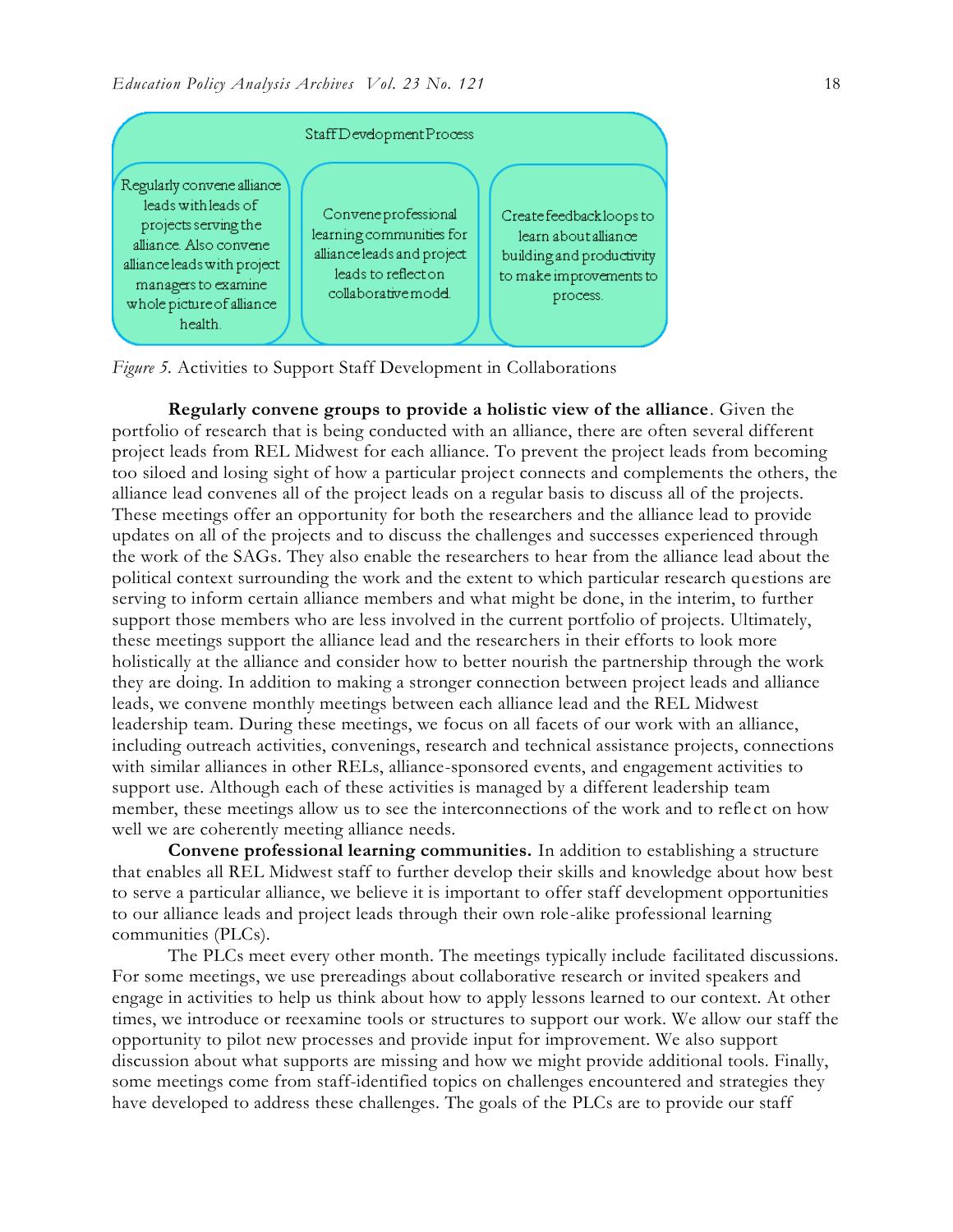

*Figure 5.* Activities to Support Staff Development in Collaborations

**Regularly convene groups to provide a holistic view of the alliance***.* Given the portfolio of research that is being conducted with an alliance, there are often several different project leads from REL Midwest for each alliance. To prevent the project leads from becoming too siloed and losing sight of how a particular project connects and complements the others, the alliance lead convenes all of the project leads on a regular basis to discuss all of the projects. These meetings offer an opportunity for both the researchers and the alliance lead to provide updates on all of the projects and to discuss the challenges and successes experienced through the work of the SAGs. They also enable the researchers to hear from the alliance lead about the political context surrounding the work and the extent to which particular research questions are serving to inform certain alliance members and what might be done, in the interim, to further support those members who are less involved in the current portfolio of projects. Ultimately, these meetings support the alliance lead and the researchers in their efforts to look more holistically at the alliance and consider how to better nourish the partnership through the work they are doing. In addition to making a stronger connection between project leads and alliance leads, we convene monthly meetings between each alliance lead and the REL Midwest leadership team. During these meetings, we focus on all facets of our work with an alliance, including outreach activities, convenings, research and technical assistance projects, connections with similar alliances in other RELs, alliance-sponsored events, and engagement activities to support use. Although each of these activities is managed by a different leadership team member, these meetings allow us to see the interconnections of the work and to reflect on how well we are coherently meeting alliance needs.

**Convene professional learning communities.** In addition to establishing a structure that enables all REL Midwest staff to further develop their skills and knowledge about how best to serve a particular alliance, we believe it is important to offer staff development opportunities to our alliance leads and project leads through their own role-alike professional learning communities (PLCs).

The PLCs meet every other month. The meetings typically include facilitated discussions. For some meetings, we use prereadings about collaborative research or invited speakers and engage in activities to help us think about how to apply lessons learned to our context. At other times, we introduce or reexamine tools or structures to support our work. We allow our staff the opportunity to pilot new processes and provide input for improvement. We also support discussion about what supports are missing and how we might provide additional tools. Finally, some meetings come from staff-identified topics on challenges encountered and strategies they have developed to address these challenges. The goals of the PLCs are to provide our staff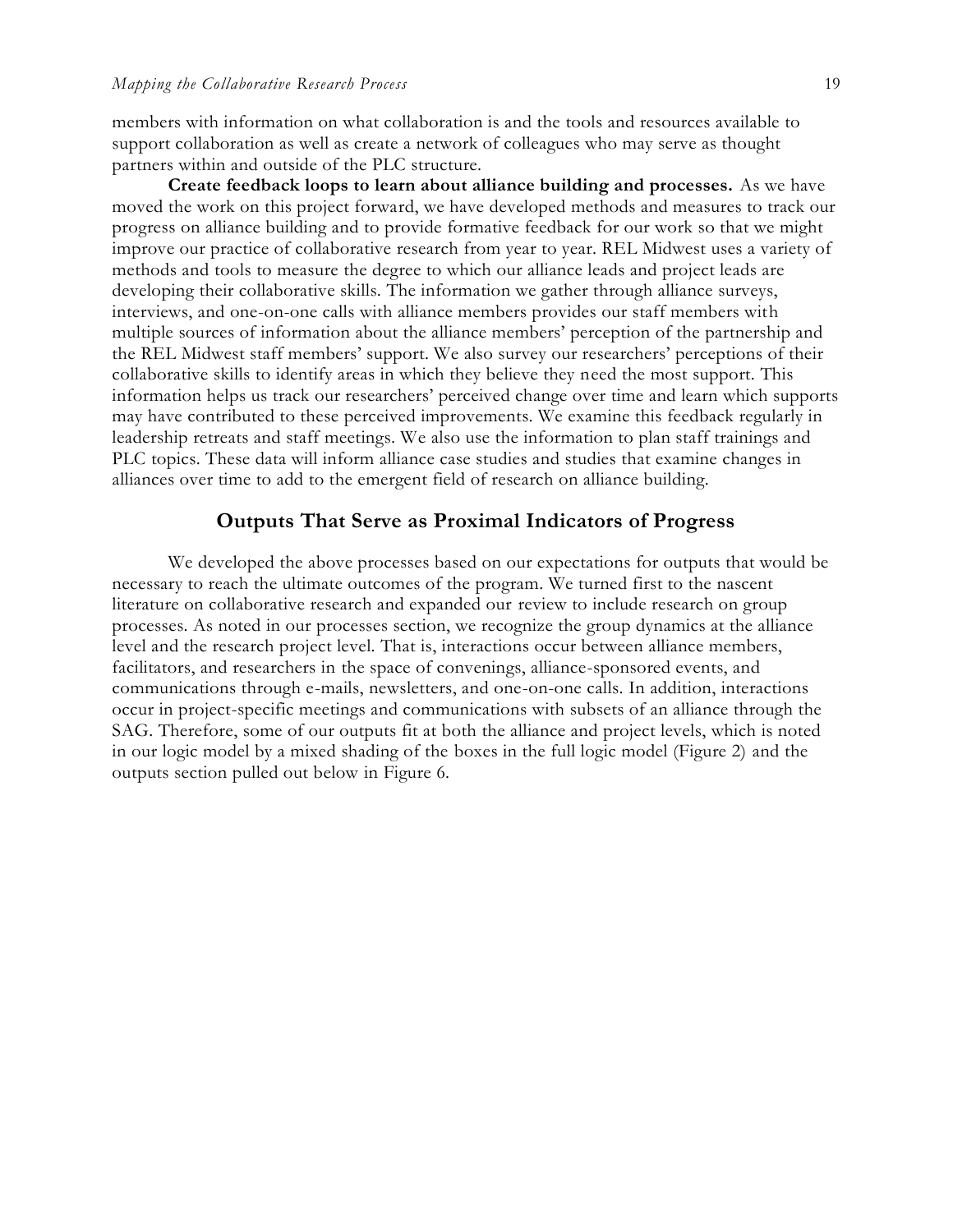members with information on what collaboration is and the tools and resources available to support collaboration as well as create a network of colleagues who may serve as thought partners within and outside of the PLC structure.

**Create feedback loops to learn about alliance building and processes.** As we have moved the work on this project forward, we have developed methods and measures to track our progress on alliance building and to provide formative feedback for our work so that we might improve our practice of collaborative research from year to year. REL Midwest uses a variety of methods and tools to measure the degree to which our alliance leads and project leads are developing their collaborative skills. The information we gather through alliance surveys, interviews, and one-on-one calls with alliance members provides our staff members with multiple sources of information about the alliance members' perception of the partnership and the REL Midwest staff members' support. We also survey our researchers' perceptions of their collaborative skills to identify areas in which they believe they need the most support. This information helps us track our researchers' perceived change over time and learn which supports may have contributed to these perceived improvements. We examine this feedback regularly in leadership retreats and staff meetings. We also use the information to plan staff trainings and PLC topics. These data will inform alliance case studies and studies that examine changes in alliances over time to add to the emergent field of research on alliance building.

#### **Outputs That Serve as Proximal Indicators of Progress**

We developed the above processes based on our expectations for outputs that would be necessary to reach the ultimate outcomes of the program. We turned first to the nascent literature on collaborative research and expanded our review to include research on group processes. As noted in our processes section, we recognize the group dynamics at the alliance level and the research project level. That is, interactions occur between alliance members, facilitators, and researchers in the space of convenings, alliance-sponsored events, and communications through e-mails, newsletters, and one-on-one calls. In addition, interactions occur in project-specific meetings and communications with subsets of an alliance through the SAG. Therefore, some of our outputs fit at both the alliance and project levels, which is noted in our logic model by a mixed shading of the boxes in the full logic model (Figure 2) and the outputs section pulled out below in Figure 6.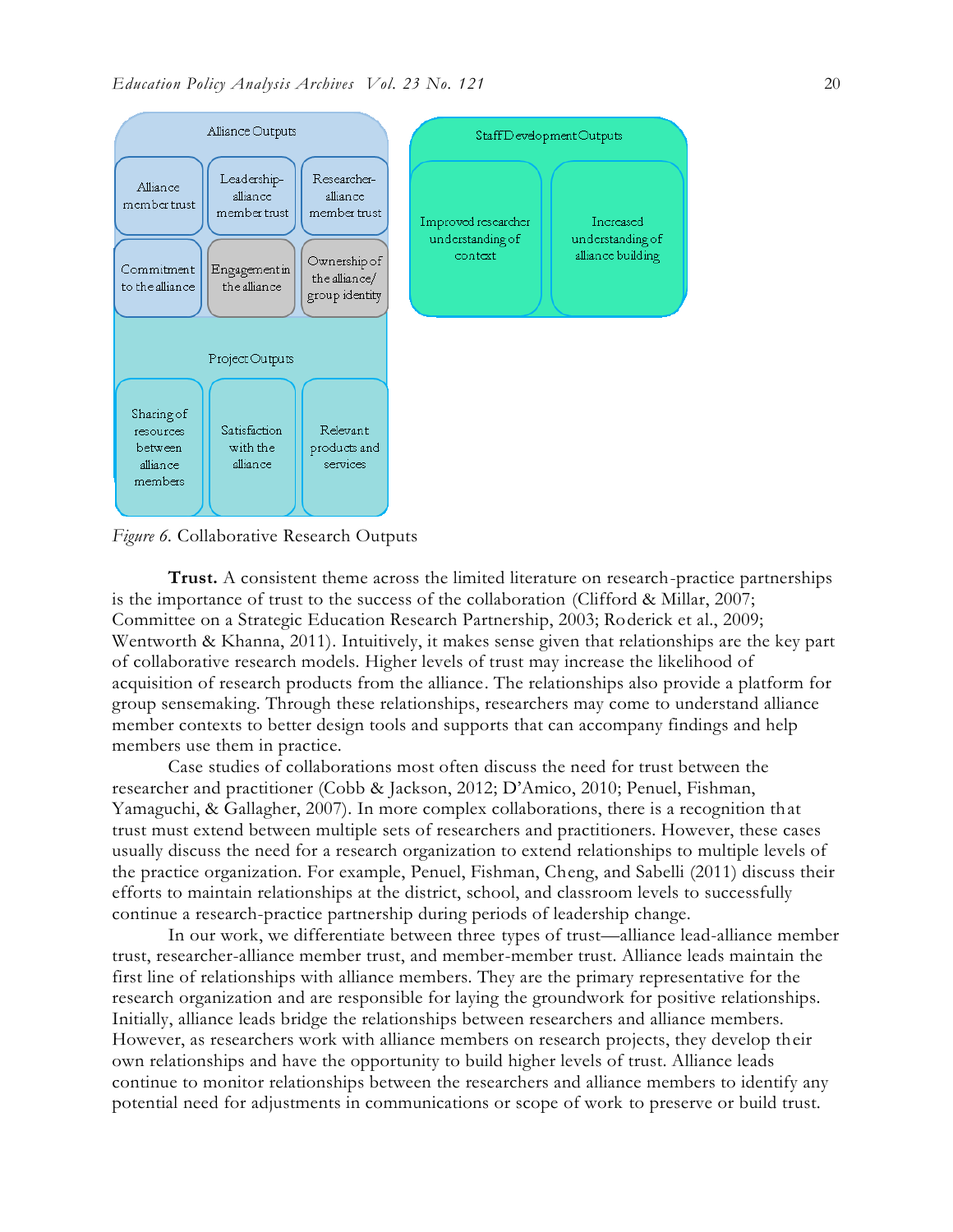

*Figure 6.* Collaborative Research Outputs

**Trust.** A consistent theme across the limited literature on research-practice partnerships is the importance of trust to the success of the collaboration (Clifford & Millar, 2007; Committee on a Strategic Education Research Partnership, 2003; Roderick et al., 2009; Wentworth & Khanna, 2011). Intuitively, it makes sense given that relationships are the key part of collaborative research models. Higher levels of trust may increase the likelihood of acquisition of research products from the alliance. The relationships also provide a platform for group sensemaking. Through these relationships, researchers may come to understand alliance member contexts to better design tools and supports that can accompany findings and help members use them in practice.

Case studies of collaborations most often discuss the need for trust between the researcher and practitioner (Cobb & Jackson, 2012; D'Amico, 2010; Penuel, Fishman, Yamaguchi, & Gallagher, 2007). In more complex collaborations, there is a recognition that trust must extend between multiple sets of researchers and practitioners. However, these cases usually discuss the need for a research organization to extend relationships to multiple levels of the practice organization. For example, Penuel, Fishman, Cheng, and Sabelli (2011) discuss their efforts to maintain relationships at the district, school, and classroom levels to successfully continue a research-practice partnership during periods of leadership change.

In our work, we differentiate between three types of trust—alliance lead-alliance member trust, researcher-alliance member trust, and member-member trust. Alliance leads maintain the first line of relationships with alliance members. They are the primary representative for the research organization and are responsible for laying the groundwork for positive relationships. Initially, alliance leads bridge the relationships between researchers and alliance members. However, as researchers work with alliance members on research projects, they develop their own relationships and have the opportunity to build higher levels of trust. Alliance leads continue to monitor relationships between the researchers and alliance members to identify any potential need for adjustments in communications or scope of work to preserve or build trust.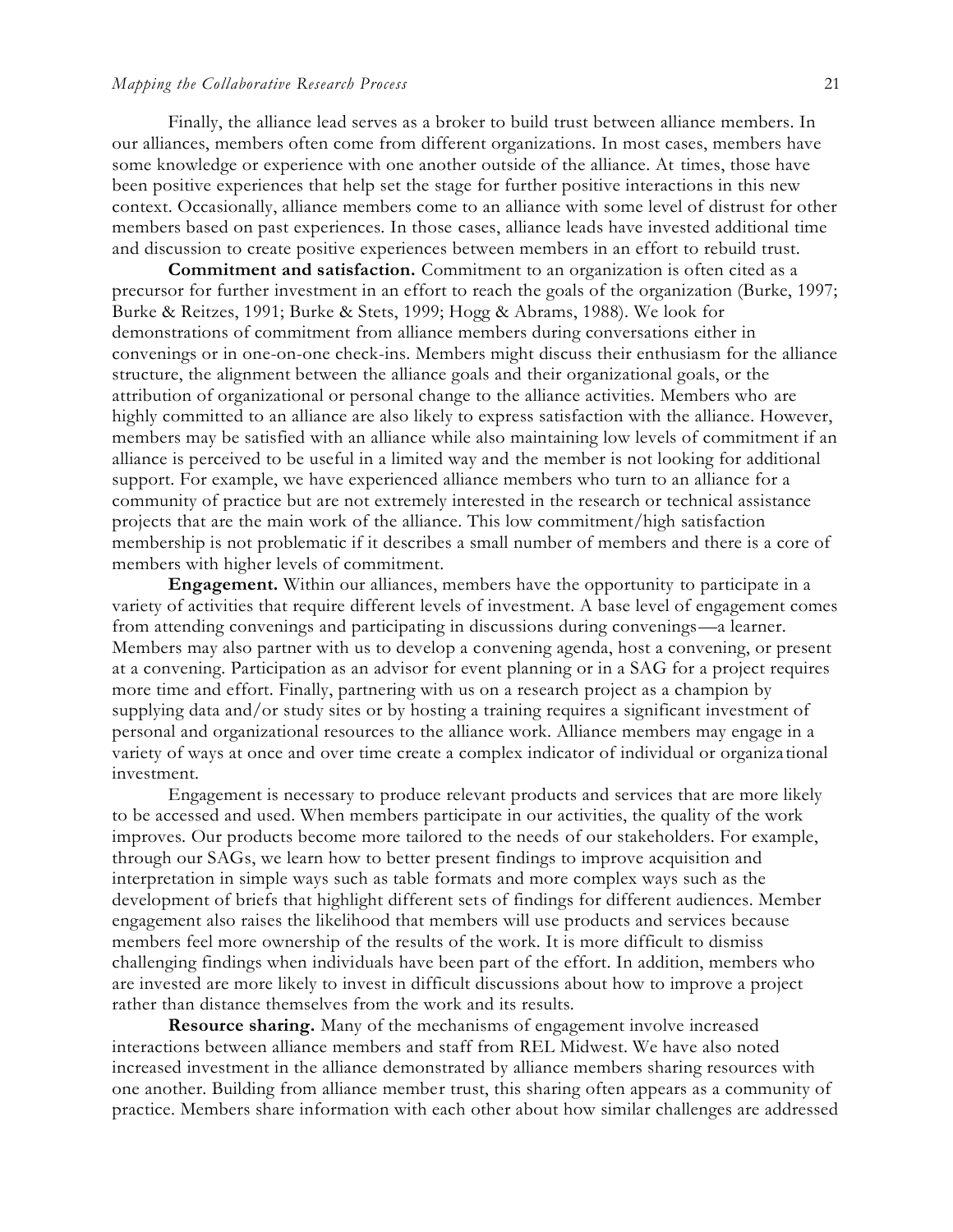Finally, the alliance lead serves as a broker to build trust between alliance members. In our alliances, members often come from different organizations. In most cases, members have some knowledge or experience with one another outside of the alliance. At times, those have been positive experiences that help set the stage for further positive interactions in this new context. Occasionally, alliance members come to an alliance with some level of distrust for other members based on past experiences. In those cases, alliance leads have invested additional time and discussion to create positive experiences between members in an effort to rebuild trust.

**Commitment and satisfaction.** Commitment to an organization is often cited as a precursor for further investment in an effort to reach the goals of the organization (Burke, 1997; Burke & Reitzes, 1991; Burke & Stets, 1999; Hogg & Abrams, 1988). We look for demonstrations of commitment from alliance members during conversations either in convenings or in one-on-one check-ins. Members might discuss their enthusiasm for the alliance structure, the alignment between the alliance goals and their organizational goals, or the attribution of organizational or personal change to the alliance activities. Members who are highly committed to an alliance are also likely to express satisfaction with the alliance. However, members may be satisfied with an alliance while also maintaining low levels of commitment if an alliance is perceived to be useful in a limited way and the member is not looking for additional support. For example, we have experienced alliance members who turn to an alliance for a community of practice but are not extremely interested in the research or technical assistance projects that are the main work of the alliance. This low commitment/high satisfaction membership is not problematic if it describes a small number of members and there is a core of members with higher levels of commitment.

**Engagement.** Within our alliances, members have the opportunity to participate in a variety of activities that require different levels of investment. A base level of engagement comes from attending convenings and participating in discussions during convenings—a learner. Members may also partner with us to develop a convening agenda, host a convening, or present at a convening. Participation as an advisor for event planning or in a SAG for a project requires more time and effort. Finally, partnering with us on a research project as a champion by supplying data and/or study sites or by hosting a training requires a significant investment of personal and organizational resources to the alliance work. Alliance members may engage in a variety of ways at once and over time create a complex indicator of individual or organiza tional investment.

Engagement is necessary to produce relevant products and services that are more likely to be accessed and used. When members participate in our activities, the quality of the work improves. Our products become more tailored to the needs of our stakeholders. For example, through our SAGs, we learn how to better present findings to improve acquisition and interpretation in simple ways such as table formats and more complex ways such as the development of briefs that highlight different sets of findings for different audiences. Member engagement also raises the likelihood that members will use products and services because members feel more ownership of the results of the work. It is more difficult to dismiss challenging findings when individuals have been part of the effort. In addition, members who are invested are more likely to invest in difficult discussions about how to improve a project rather than distance themselves from the work and its results.

**Resource sharing.** Many of the mechanisms of engagement involve increased interactions between alliance members and staff from REL Midwest. We have also noted increased investment in the alliance demonstrated by alliance members sharing resources with one another. Building from alliance member trust, this sharing often appears as a community of practice. Members share information with each other about how similar challenges are addressed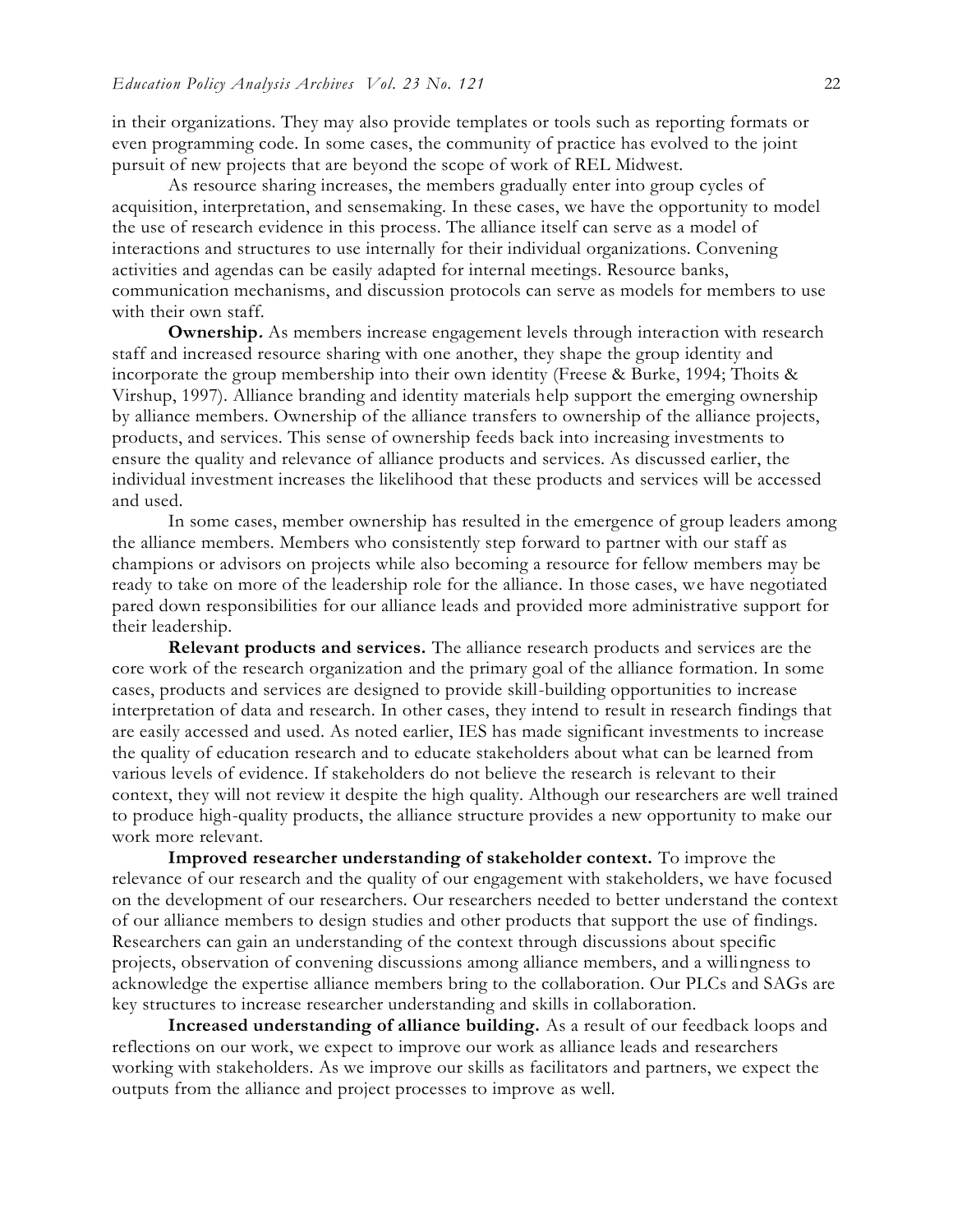in their organizations. They may also provide templates or tools such as reporting formats or even programming code. In some cases, the community of practice has evolved to the joint pursuit of new projects that are beyond the scope of work of REL Midwest.

As resource sharing increases, the members gradually enter into group cycles of acquisition, interpretation, and sensemaking. In these cases, we have the opportunity to model the use of research evidence in this process. The alliance itself can serve as a model of interactions and structures to use internally for their individual organizations. Convening activities and agendas can be easily adapted for internal meetings. Resource banks, communication mechanisms, and discussion protocols can serve as models for members to use with their own staff.

**Ownership.** As members increase engagement levels through interaction with research staff and increased resource sharing with one another, they shape the group identity and incorporate the group membership into their own identity (Freese & Burke, 1994; Thoits & Virshup, 1997). Alliance branding and identity materials help support the emerging ownership by alliance members. Ownership of the alliance transfers to ownership of the alliance projects, products, and services. This sense of ownership feeds back into increasing investments to ensure the quality and relevance of alliance products and services. As discussed earlier, the individual investment increases the likelihood that these products and services will be accessed and used.

In some cases, member ownership has resulted in the emergence of group leaders among the alliance members. Members who consistently step forward to partner with our staff as champions or advisors on projects while also becoming a resource for fellow members may be ready to take on more of the leadership role for the alliance. In those cases, we have negotiated pared down responsibilities for our alliance leads and provided more administrative support for their leadership.

**Relevant products and services.** The alliance research products and services are the core work of the research organization and the primary goal of the alliance formation. In some cases, products and services are designed to provide skill-building opportunities to increase interpretation of data and research. In other cases, they intend to result in research findings that are easily accessed and used. As noted earlier, IES has made significant investments to increase the quality of education research and to educate stakeholders about what can be learned from various levels of evidence. If stakeholders do not believe the research is relevant to their context, they will not review it despite the high quality. Although our researchers are well trained to produce high-quality products, the alliance structure provides a new opportunity to make our work more relevant.

**Improved researcher understanding of stakeholder context.** To improve the relevance of our research and the quality of our engagement with stakeholders, we have focused on the development of our researchers. Our researchers needed to better understand the context of our alliance members to design studies and other products that support the use of findings. Researchers can gain an understanding of the context through discussions about specific projects, observation of convening discussions among alliance members, and a willingness to acknowledge the expertise alliance members bring to the collaboration. Our PLCs and SAGs are key structures to increase researcher understanding and skills in collaboration.

**Increased understanding of alliance building.** As a result of our feedback loops and reflections on our work, we expect to improve our work as alliance leads and researchers working with stakeholders. As we improve our skills as facilitators and partners, we expect the outputs from the alliance and project processes to improve as well.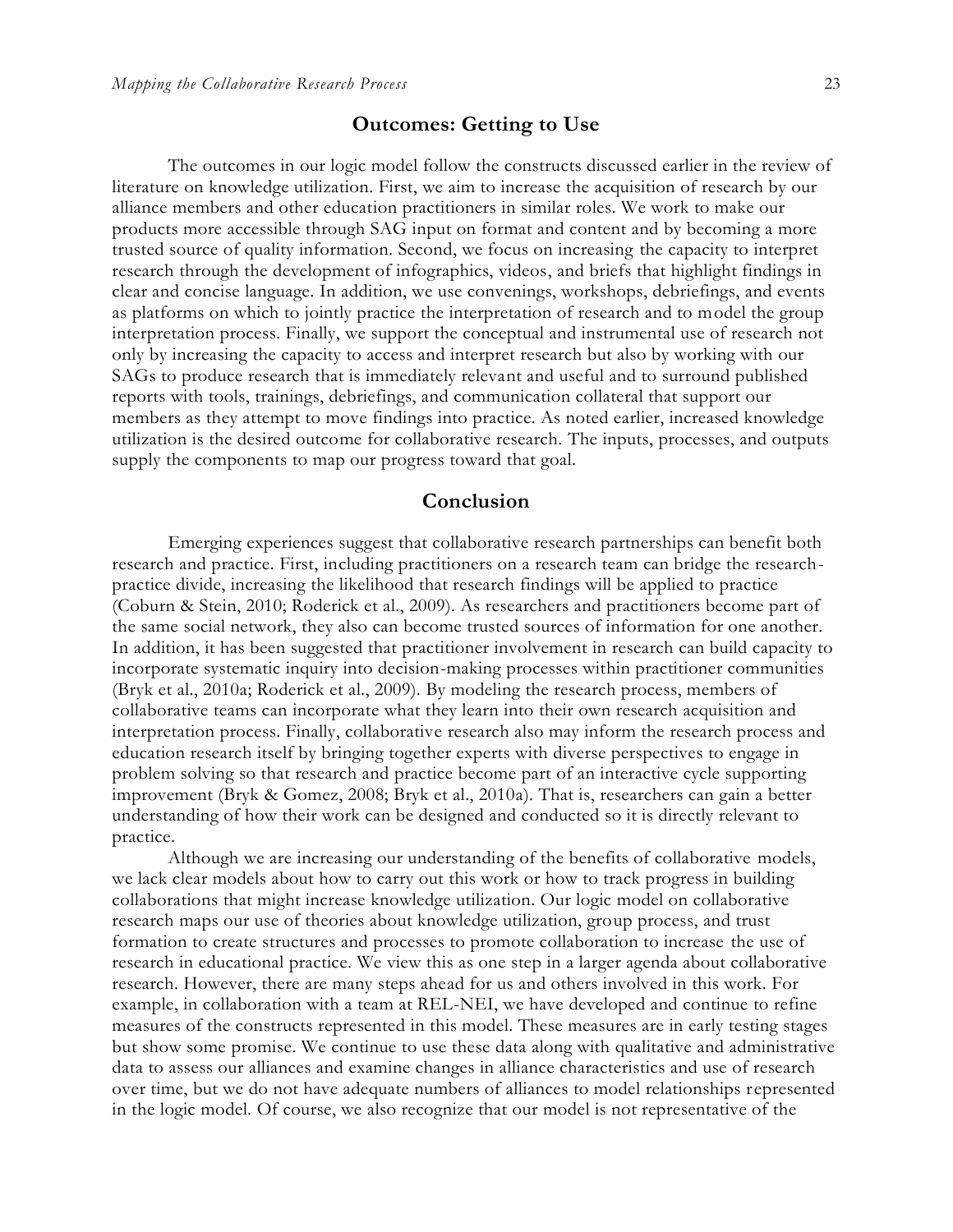#### **Outcomes: Getting to Use**

The outcomes in our logic model follow the constructs discussed earlier in the review of literature on knowledge utilization. First, we aim to increase the acquisition of research by our alliance members and other education practitioners in similar roles. We work to make our products more accessible through SAG input on format and content and by becoming a more trusted source of quality information. Second, we focus on increasing the capacity to interpret research through the development of infographics, videos, and briefs that highlight findings in clear and concise language. In addition, we use convenings, workshops, debriefings, and events as platforms on which to jointly practice the interpretation of research and to model the group interpretation process. Finally, we support the conceptual and instrumental use of research not only by increasing the capacity to access and interpret research but also by working with our SAGs to produce research that is immediately relevant and useful and to surround published reports with tools, trainings, debriefings, and communication collateral that support our members as they attempt to move findings into practice. As noted earlier, increased knowledge utilization is the desired outcome for collaborative research. The inputs, processes, and outputs supply the components to map our progress toward that goal.

#### **Conclusion**

Emerging experiences suggest that collaborative research partnerships can benefit both research and practice. First, including practitioners on a research team can bridge the researchpractice divide, increasing the likelihood that research findings will be applied to practice (Coburn & Stein, 2010; Roderick et al., 2009). As researchers and practitioners become part of the same social network, they also can become trusted sources of information for one another. In addition, it has been suggested that practitioner involvement in research can build capacity to incorporate systematic inquiry into decision-making processes within practitioner communities (Bryk et al., 2010a; Roderick et al., 2009). By modeling the research process, members of collaborative teams can incorporate what they learn into their own research acquisition and interpretation process. Finally, collaborative research also may inform the research process and education research itself by bringing together experts with diverse perspectives to engage in problem solving so that research and practice become part of an interactive cycle supporting improvement (Bryk & Gomez, 2008; Bryk et al., 2010a). That is, researchers can gain a better understanding of how their work can be designed and conducted so it is directly relevant to practice.

Although we are increasing our understanding of the benefits of collaborative models, we lack clear models about how to carry out this work or how to track progress in building collaborations that might increase knowledge utilization. Our logic model on collaborative research maps our use of theories about knowledge utilization, group process, and trust formation to create structures and processes to promote collaboration to increase the use of research in educational practice. We view this as one step in a larger agenda about collaborative research. However, there are many steps ahead for us and others involved in this work. For example, in collaboration with a team at REL-NEI, we have developed and continue to refine measures of the constructs represented in this model. These measures are in early testing stages but show some promise. We continue to use these data along with qualitative and administrative data to assess our alliances and examine changes in alliance characteristics and use of research over time, but we do not have adequate numbers of alliances to model relationships represented in the logic model. Of course, we also recognize that our model is not representative of the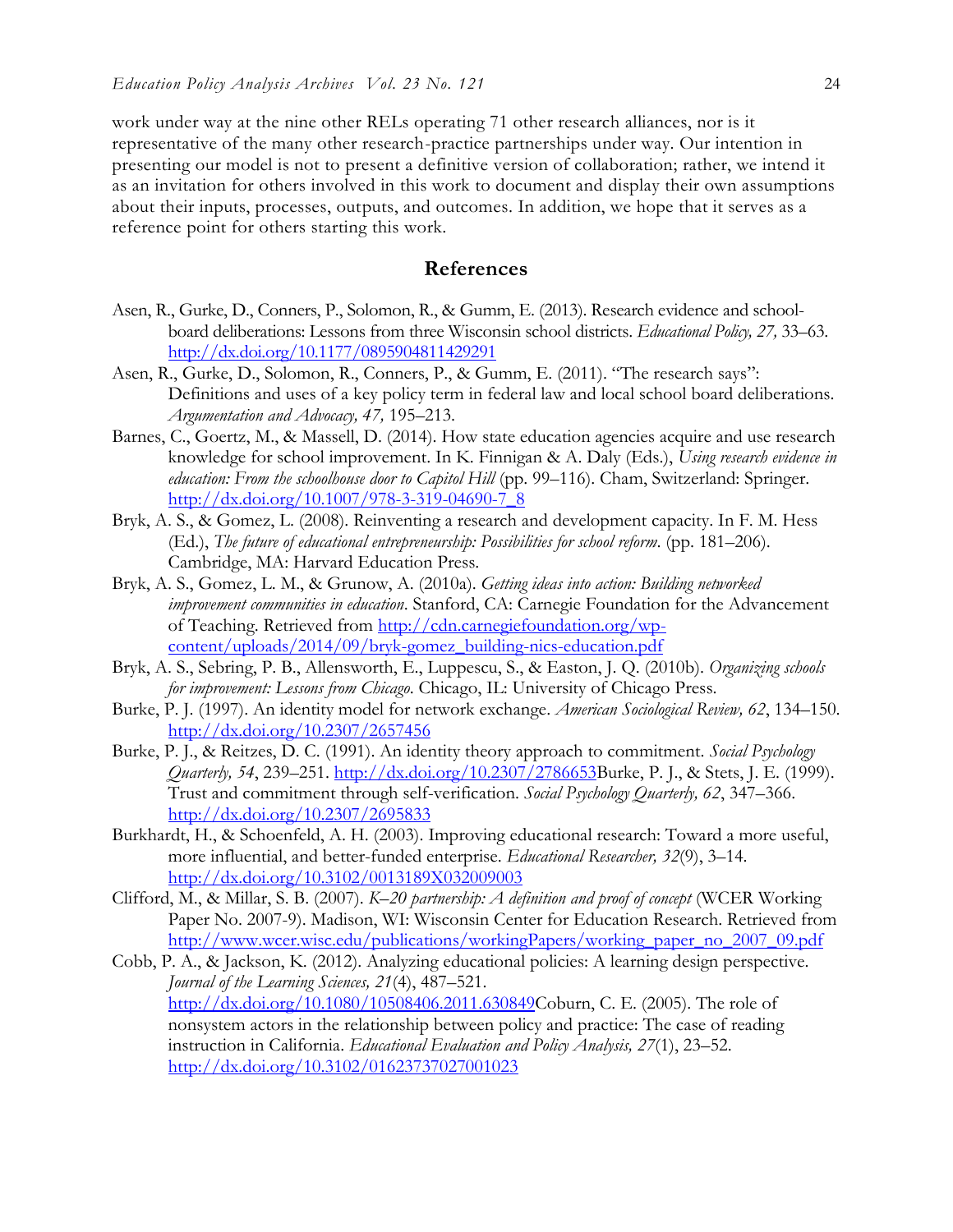work under way at the nine other RELs operating 71 other research alliances, nor is it representative of the many other research-practice partnerships under way. Our intention in presenting our model is not to present a definitive version of collaboration; rather, we intend it as an invitation for others involved in this work to document and display their own assumptions about their inputs, processes, outputs, and outcomes. In addition, we hope that it serves as a reference point for others starting this work.

## **References**

- Asen, R., Gurke, D., Conners, P., Solomon, R., & Gumm, E. (2013). Research evidence and schoolboard deliberations: Lessons from three Wisconsin school districts. *Educational Policy, 27,* 33–63. <http://dx.doi.org/10.1177/0895904811429291>
- Asen, R., Gurke, D., Solomon, R., Conners, P., & Gumm, E. (2011). "The research says": Definitions and uses of a key policy term in federal law and local school board deliberations. *Argumentation and Advocacy, 47,* 195–213.
- Barnes, C., Goertz, M., & Massell, D. (2014). How state education agencies acquire and use research knowledge for school improvement. In K. Finnigan & A. Daly (Eds.), *Using research evidence in*  education: From the schoolhouse door to Capitol Hill (pp. 99–116). Cham, Switzerland: Springer. [http://dx.doi.org/10.1007/978-3-319-04690-7\\_8](http://dx.doi.org/10.1007/978-3-319-04690-7_8)
- Bryk, A. S., & Gomez, L. (2008). Reinventing a research and development capacity. In F. M. Hess (Ed.), *The future of educational entrepreneurship: Possibilities for school reform*. (pp. 181–206). Cambridge, MA: Harvard Education Press.
- Bryk, A. S., Gomez, L. M., & Grunow, A. (2010a). *Getting ideas into action: Building networked improvement communities in education*. Stanford, CA: Carnegie Foundation for the Advancement of Teaching. Retrieved from [http://cdn.carnegiefoundation.org/wp](http://cdn.carnegiefoundation.org/wp-content/uploads/2014/09/bryk-gomez_building-nics-education.pdf)[content/uploads/2014/09/bryk-gomez\\_building-nics-education.pdf](http://cdn.carnegiefoundation.org/wp-content/uploads/2014/09/bryk-gomez_building-nics-education.pdf)
- Bryk, A. S., Sebring, P. B., Allensworth, E., Luppescu, S., & Easton, J. Q. (2010b). *Organizing schools for improvement: Lessons from Chicago*. Chicago, IL: University of Chicago Press.
- Burke, P. J. (1997). An identity model for network exchange. *American Sociological Review, 62*, 134–150. <http://dx.doi.org/10.2307/2657456>
- Burke, P. J., & Reitzes, D. C. (1991). An identity theory approach to commitment. *Social Psychology Quarterly, 54*, 239–251. [http://dx.doi.org/10.2307/2786653B](http://dx.doi.org/10.2307/2786653)urke, P. J., & Stets, J. E. (1999). Trust and commitment through self-verification. *Social Psychology Quarterly, 62*, 347–366. <http://dx.doi.org/10.2307/2695833>
- Burkhardt, H., & Schoenfeld, A. H. (2003). Improving educational research: Toward a more useful, more influential, and better-funded enterprise. *Educational Researcher, 32*(9), 3–14. <http://dx.doi.org/10.3102/0013189X032009003>
- Clifford, M., & Millar, S. B. (2007). *K–20 partnership: A definition and proof of concept* (WCER Working Paper No. 2007-9). Madison, WI: Wisconsin Center for Education Research. Retrieved from [http://www.wcer.wisc.edu/publications/workingPapers/working\\_paper\\_no\\_2007\\_09.pdf](http://www.wcer.wisc.edu/publications/workingPapers/working_paper_no_2007_09.pdf)
- Cobb, P. A., & Jackson, K. (2012). Analyzing educational policies: A learning design perspective. *Journal of the Learning Sciences, 21*(4), 487–521. [http://dx.doi.org/10.1080/10508406.2011.630849C](http://dx.doi.org/10.1080/10508406.2011.630849)oburn, C. E. (2005). The role of nonsystem actors in the relationship between policy and practice: The case of reading instruction in California. *Educational Evaluation and Policy Analysis, 27*(1), 23–52. <http://dx.doi.org/10.3102/01623737027001023>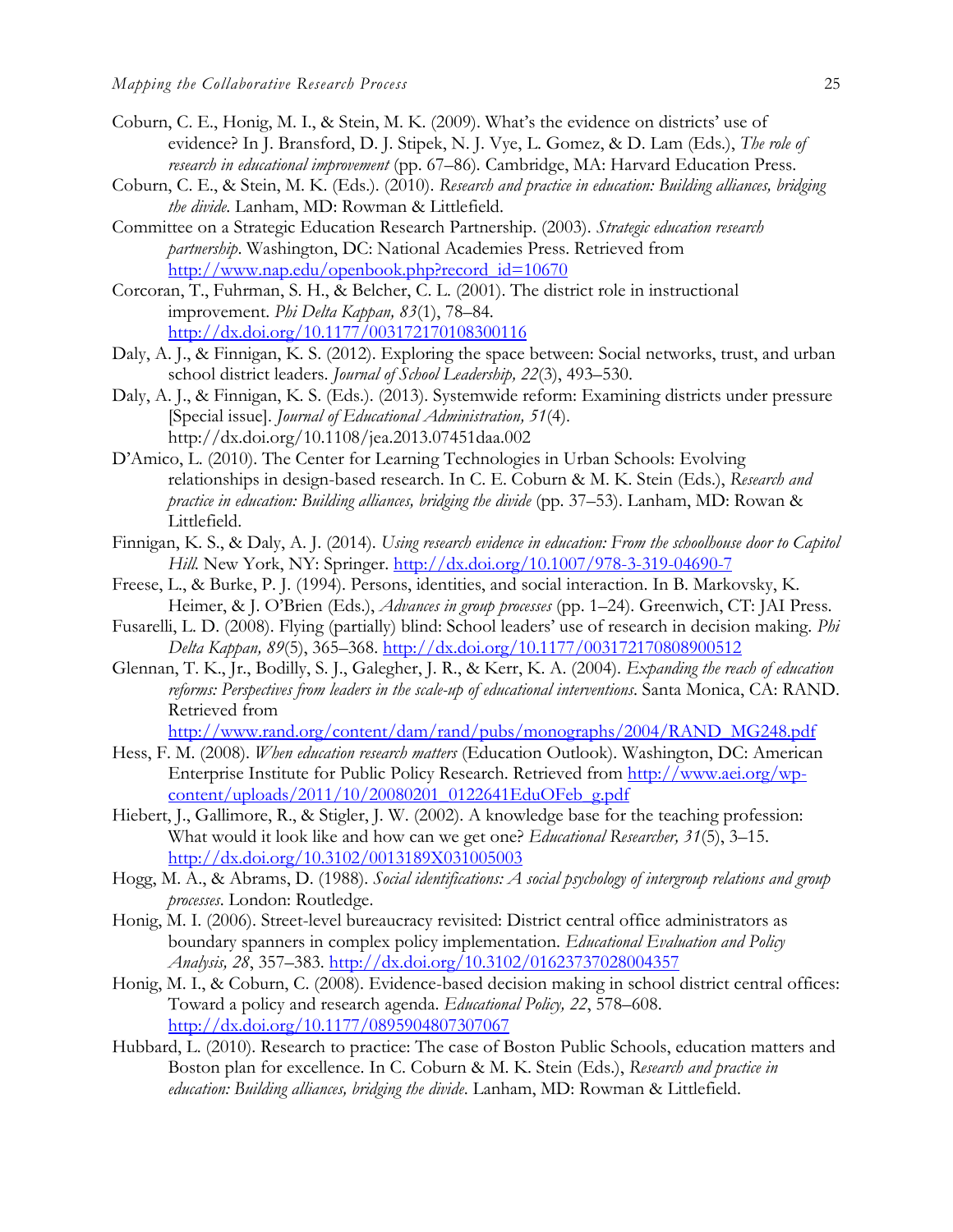- Coburn, C. E., Honig, M. I., & Stein, M. K. (2009). What's the evidence on districts' use of evidence? In J. Bransford, D. J. Stipek, N. J. Vye, L. Gomez, & D. Lam (Eds.), *The role of research in educational improvement* (pp. 67–86)*.* Cambridge, MA: Harvard Education Press.
- Coburn, C. E., & Stein, M. K. (Eds.). (2010). *Research and practice in education: Building alliances, bridging the divide*. Lanham, MD: Rowman & Littlefield.
- Committee on a Strategic Education Research Partnership. (2003). *Strategic education research partnership*. Washington, DC: National Academies Press. Retrieved from [http://www.nap.edu/openbook.php?record\\_id=10670](http://www.nap.edu/openbook.php?record_id=10670)
- Corcoran, T., Fuhrman, S. H., & Belcher, C. L. (2001). The district role in instructional improvement. *Phi Delta Kappan, 83*(1), 78–84. <http://dx.doi.org/10.1177/003172170108300116>
- Daly, A. J., & Finnigan, K. S. (2012). Exploring the space between: Social networks, trust, and urban school district leaders. *Journal of School Leadership, 22*(3), 493–530.
- Daly, A. J., & Finnigan, K. S. (Eds.). (2013). Systemwide reform: Examining districts under pressure [Special issue]. *Journal of Educational Administration, 51*(4). http://dx.doi.org/10.1108/jea.2013.07451daa.002
- D'Amico, L. (2010). The Center for Learning Technologies in Urban Schools: Evolving relationships in design-based research. In C. E. Coburn & M. K. Stein (Eds.), *Research and practice in education: Building alliances, bridging the divide* (pp. 37–53). Lanham, MD: Rowan & Littlefield.
- Finnigan, K. S., & Daly, A. J. (2014). *Using research evidence in education: From the schoolhouse door to Capitol Hill.* New York, NY: Springer. <http://dx.doi.org/10.1007/978-3-319-04690-7>
- Freese, L., & Burke, P. J. (1994). Persons, identities, and social interaction. In B. Markovsky, K. Heimer, & J. O'Brien (Eds.), *Advances in group processes* (pp. 1–24). Greenwich, CT: JAI Press.
- Fusarelli, L. D. (2008). Flying (partially) blind: School leaders' use of research in decision making. *Phi Delta Kappan, 89*(5), 365–368.<http://dx.doi.org/10.1177/003172170808900512>
- Glennan, T. K., Jr., Bodilly, S. J., Galegher, J. R., & Kerr, K. A. (2004). *Expanding the reach of education reforms: Perspectives from leaders in the scale-up of educational interventions*. Santa Monica, CA: RAND. Retrieved from

[http://www.rand.org/content/dam/rand/pubs/monographs/2004/RAND\\_MG248.pdf](http://www.rand.org/content/dam/rand/pubs/monographs/2004/RAND_MG248.pdf)

- Hess, F. M. (2008). *When education research matters* (Education Outlook). Washington, DC: American Enterprise Institute for Public Policy Research. Retrieved from [http://www.aei.org/wp](http://www.aei.org/wp-content/uploads/2011/10/20080201_0122641EduOFeb_g.pdf)[content/uploads/2011/10/20080201\\_0122641EduOFeb\\_g.pdf](http://www.aei.org/wp-content/uploads/2011/10/20080201_0122641EduOFeb_g.pdf)
- Hiebert, J., Gallimore, R., & Stigler, J. W. (2002). A knowledge base for the teaching profession: What would it look like and how can we get one? *Educational Researcher, 31*(5), 3–15. <http://dx.doi.org/10.3102/0013189X031005003>
- Hogg, M. A., & Abrams, D. (1988). *Social identifications: A social psychology of intergroup relations and group processes*. London: Routledge.
- Honig, M. I. (2006). Street-level bureaucracy revisited: District central office administrators as boundary spanners in complex policy implementation. *Educational Evaluation and Policy Analysis, 28*, 357–383.<http://dx.doi.org/10.3102/01623737028004357>
- Honig, M. I., & Coburn, C. (2008). Evidence-based decision making in school district central offices: Toward a policy and research agenda. *Educational Policy, 22*, 578–608. <http://dx.doi.org/10.1177/0895904807307067>
- Hubbard, L. (2010). Research to practice: The case of Boston Public Schools, education matters and Boston plan for excellence. In C. Coburn & M. K. Stein (Eds.), *Research and practice in education: Building alliances, bridging the divide*. Lanham, MD: Rowman & Littlefield.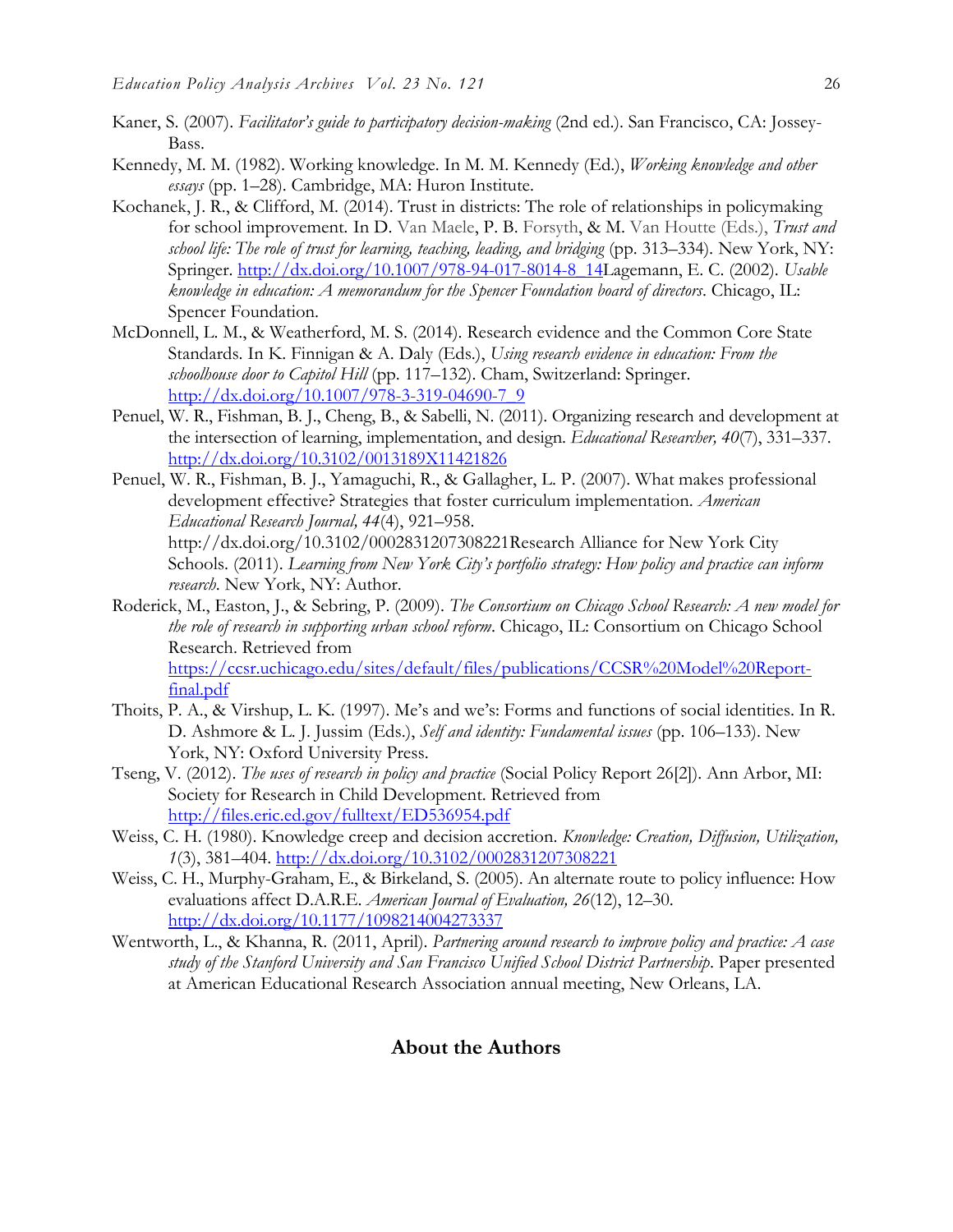- Kaner, S. (2007). *Facilitator's guide to participatory decision-making* (2nd ed.). San Francisco, CA: Jossey-Bass.
- Kennedy, M. M. (1982). Working knowledge. In M. M. Kennedy (Ed.), *Working knowledge and other essays* (pp. 1–28). Cambridge, MA: Huron Institute.
- Kochanek, J. R., & Clifford, M. (2014). Trust in districts: The role of relationships in policymaking for school improvement*.* In D. Van Maele, P. B. Forsyth, & M. Van Houtte (Eds.), *Trust and school life: The role of trust for learning, teaching, leading, and bridging (pp. 313–334). New York, NY:* Springer. [http://dx.doi.org/10.1007/978-94-017-8014-8\\_14L](http://dx.doi.org/10.1007/978-94-017-8014-8_14)agemann, E. C. (2002). *Usable knowledge in education: A memorandum for the Spencer Foundation board of directors*. Chicago, IL: Spencer Foundation.
- McDonnell, L. M., & Weatherford, M. S. (2014). Research evidence and the Common Core State Standards. In K. Finnigan & A. Daly (Eds.), *Using research evidence in education: From the schoolhouse door to Capitol Hill* (pp. 117–132). Cham, Switzerland: Springer. [http://dx.doi.org/10.1007/978-3-319-04690-7\\_9](http://dx.doi.org/10.1007/978-3-319-04690-7_9)
- Penuel, W. R., Fishman, B. J., Cheng, B., & Sabelli, N. (2011). Organizing research and development at the intersection of learning, implementation, and design. *Educational Researcher, 40*(7), 331–337. <http://dx.doi.org/10.3102/0013189X11421826>
- Penuel, W. R., Fishman, B. J., Yamaguchi, R., & Gallagher, L. P. (2007). What makes professional development effective? Strategies that foster curriculum implementation. *American Educational Research Journal, 44*(4), 921–958. http://dx.doi.org/10.3102/0002831207308221Research Alliance for New York City Schools. (2011). *Learning from New York City's portfolio strategy: How policy and practice can inform research*. New York, NY: Author.
- Roderick, M., Easton, J., & Sebring, P. (2009). *The Consortium on Chicago School Research: A new model for the role of research in supporting urban school reform*. Chicago, IL: Consortium on Chicago School Research. Retrieved from [https://ccsr.uchicago.edu/sites/default/files/publications/CCSR%20Model%20Report](https://ccsr.uchicago.edu/sites/default/files/publications/CCSR%20Model%20Report-final.pdf)[final.pdf](https://ccsr.uchicago.edu/sites/default/files/publications/CCSR%20Model%20Report-final.pdf)
- Thoits, P. A., & Virshup, L. K. (1997). Me's and we's: Forms and functions of social identities. In R. D. Ashmore & L. J. Jussim (Eds.), *Self and identity: Fundamental issues* (pp. 106–133). New York, NY: Oxford University Press.
- Tseng, V. (2012). *The uses of research in policy and practice* (Social Policy Report 26[2]). Ann Arbor, MI: Society for Research in Child Development. Retrieved from <http://files.eric.ed.gov/fulltext/ED536954.pdf>
- Weiss, C. H. (1980). Knowledge creep and decision accretion. *Knowledge: Creation, Diffusion, Utilization, 1*(3), 381–404. <http://dx.doi.org/10.3102/0002831207308221>
- Weiss, C. H., Murphy-Graham, E., & Birkeland, S. (2005). An alternate route to policy influence: How evaluations affect D.A.R.E. *American Journal of Evaluation, 26*(12), 12–30. <http://dx.doi.org/10.1177/1098214004273337>
- Wentworth, L., & Khanna, R. (2011, April). *Partnering around research to improve policy and practice: A case study of the Stanford University and San Francisco Unified School District Partnership*. Paper presented at American Educational Research Association annual meeting, New Orleans, LA.

# **About the Authors**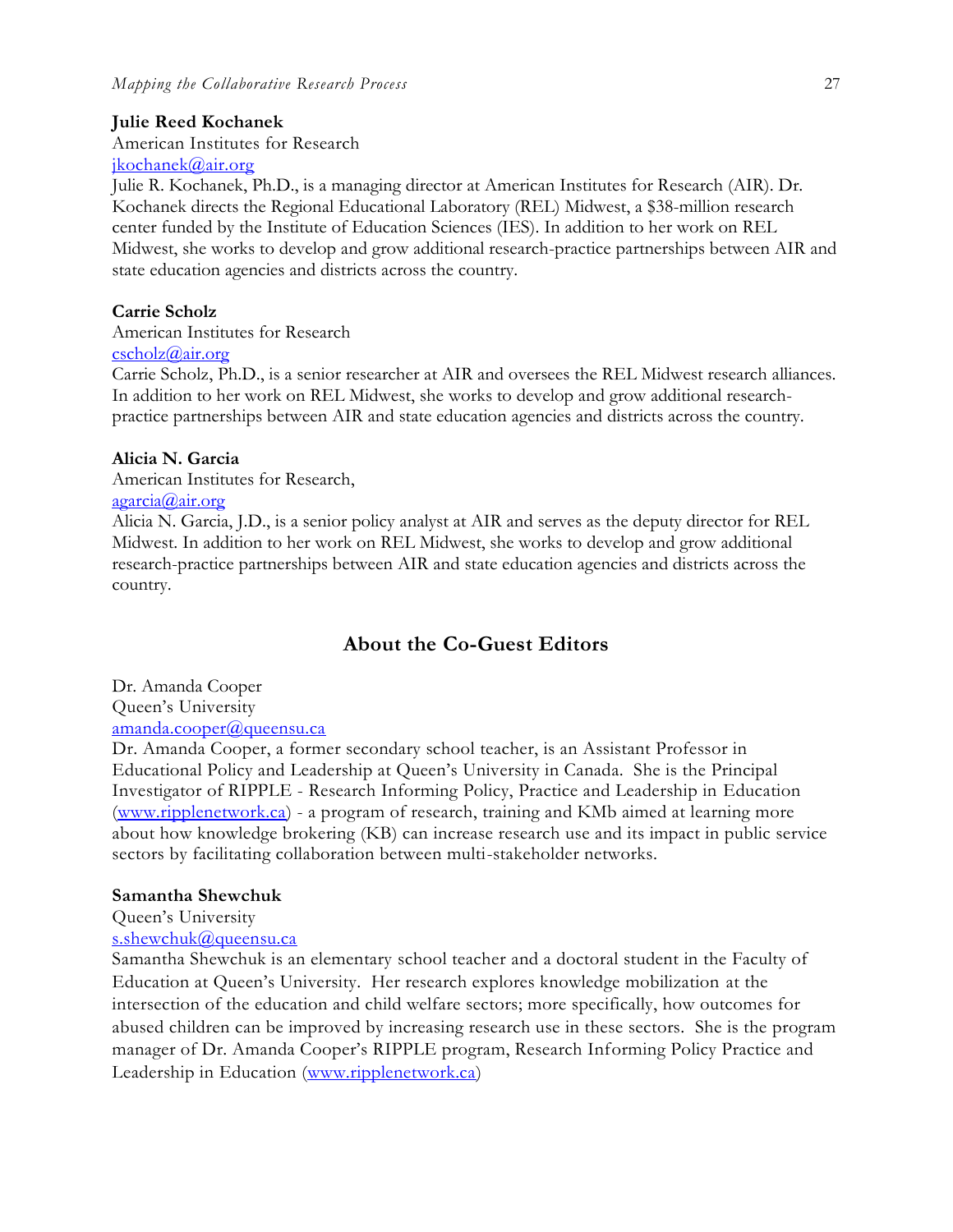#### **Julie Reed Kochanek**

American Institutes for Research

[jkochanek@air.org](mailto:jkochanek@air.org)

Julie R. Kochanek, Ph.D., is a managing director at American Institutes for Research (AIR). Dr. Kochanek directs the Regional Educational Laboratory (REL) Midwest, a \$38-million research center funded by the Institute of Education Sciences (IES). In addition to her work on REL Midwest, she works to develop and grow additional research-practice partnerships between AIR and state education agencies and districts across the country.

#### **Carrie Scholz**

#### American Institutes for Research

# [cscholz@air.org](mailto:cscholz@air.org)

Carrie Scholz, Ph.D., is a senior researcher at AIR and oversees the REL Midwest research alliances. In addition to her work on REL Midwest, she works to develop and grow additional researchpractice partnerships between AIR and state education agencies and districts across the country.

#### **Alicia N. Garcia**

American Institutes for Research,

# [agarcia@air.org](mailto:agarcia@air.org)

Alicia N. Garcia, J.D., is a senior policy analyst at AIR and serves as the deputy director for REL Midwest. In addition to her work on REL Midwest, she works to develop and grow additional research-practice partnerships between AIR and state education agencies and districts across the country.

# **About the Co-Guest Editors**

Dr. Amanda Cooper Queen's University [amanda.cooper@queensu.ca](file:///C:/Users/cscholz/AppData/Downloads/amanda.cooper@queensu.ca)

Dr. Amanda Cooper, a former secondary school teacher, is an Assistant Professor in Educational Policy and Leadership at Queen's University in Canada. She is the Principal Investigator of RIPPLE - Research Informing Policy, Practice and Leadership in Education [\(www.ripplenetwork.ca\)](file:///C:/Users/ssmcb/Dropbox%20(ASU)/v232015/KM%20Special%20Issue%20Cooper/www.ripplenetwork.ca) - a program of research, training and KMb aimed at learning more about how knowledge brokering (KB) can increase research use and its impact in public service sectors by facilitating collaboration between multi-stakeholder networks.

#### **Samantha Shewchuk**

# Queen's University

# [s.shewchuk@queensu.ca](mailto:s.shewchuk@queensu.ca)

Samantha Shewchuk is an elementary school teacher and a doctoral student in the Faculty of Education at Queen's University. Her research explores knowledge mobilization at the intersection of the education and child welfare sectors; more specifically, how outcomes for abused children can be improved by increasing research use in these sectors. She is the program manager of Dr. Amanda Cooper's RIPPLE program, Research Informing Policy Practice and Leadership in Education [\(www.ripplenetwork.ca\)](file:///C:/Users/Samantha%20Jo/Dropbox/001%20Queen)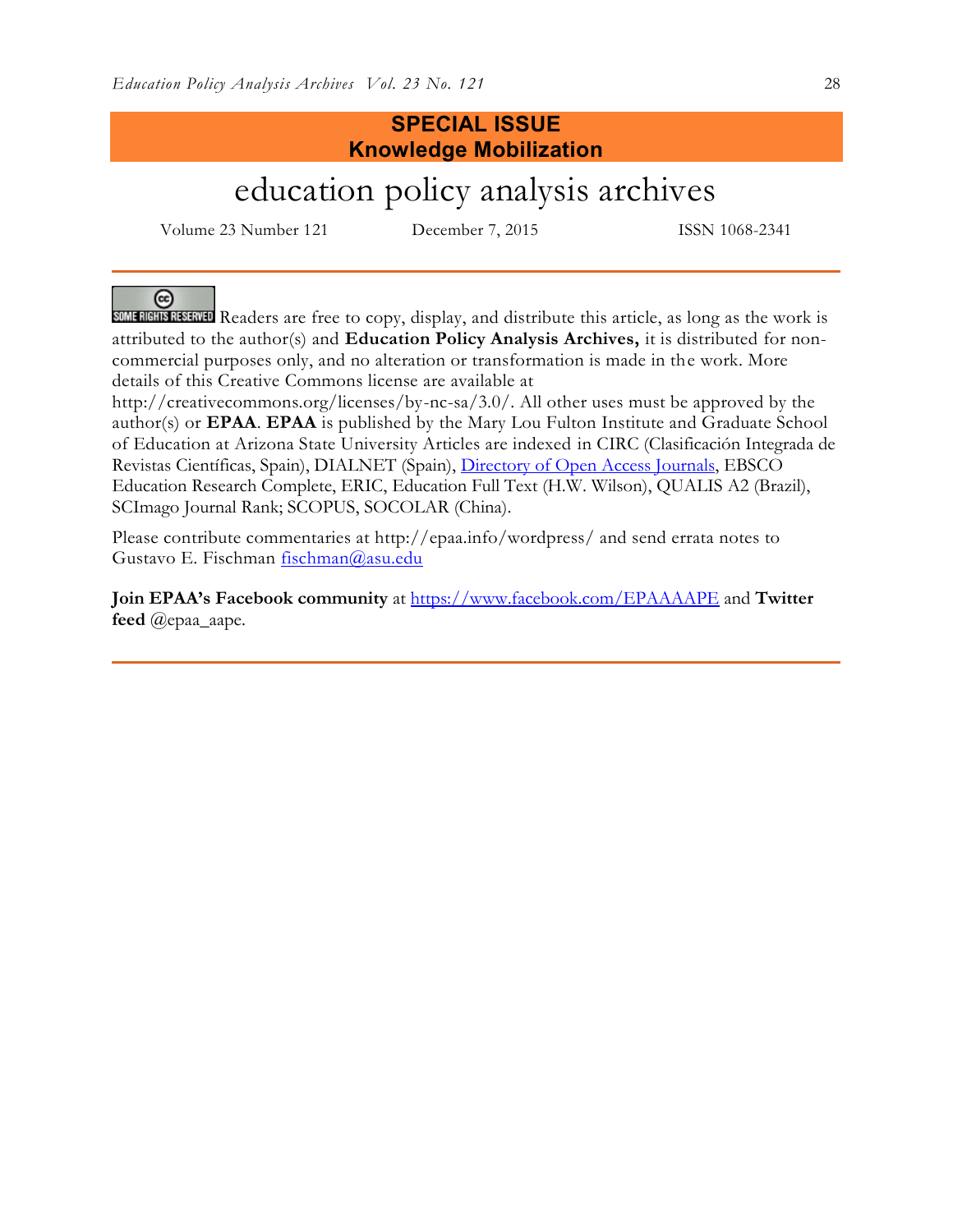# **SPECIAL ISSUE Knowledge Mobilization**

# education policy analysis archives

Volume 23 Number 121 December 7, 2015 ISSN 1068-2341

(၀)

**SOME RIGHTS RESERVED** Readers are free to copy, display, and distribute this article, as long as the work is attributed to the author(s) and **Education Policy Analysis Archives,** it is distributed for noncommercial purposes only, and no alteration or transformation is made in the work. More details of this Creative Commons license are available at

http://creativecommons.org/licenses/by-nc-sa/3.0/. All other uses must be approved by the author(s) or **EPAA**. **EPAA** is published by the Mary Lou Fulton Institute and Graduate School of Education at Arizona State University Articles are indexed in CIRC (Clasificación Integrada de Revistas Científicas, Spain), DIALNET (Spain), [Directory of Open Access Journals,](http://www.doaj.org/) EBSCO Education Research Complete, ERIC, Education Full Text (H.W. Wilson), QUALIS A2 (Brazil), SCImago Journal Rank; SCOPUS, SOCOLAR (China).

Please contribute commentaries at http://epaa.info/wordpress/ and send errata notes to Gustavo E. Fischman [fischman@asu.edu](mailto:fischman@asu.edu)

**Join EPAA's Facebook community** at<https://www.facebook.com/EPAAAAPE> and **Twitter feed** @epaa\_aape.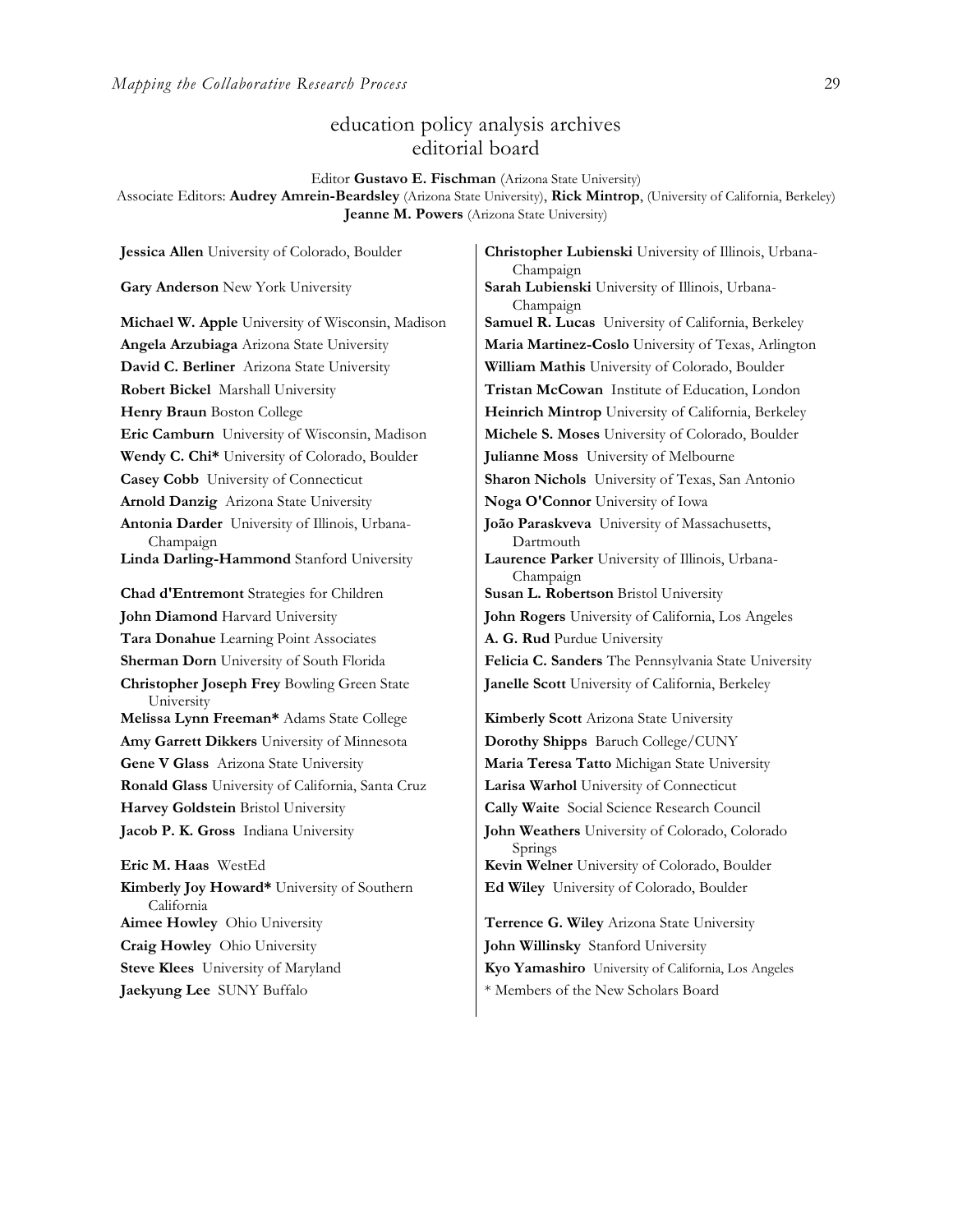# education policy analysis archives editorial board

Editor **Gustavo E. Fischman** (Arizona State University)

Associate Editors: **Audrey Amrein-Beardsley** (Arizona State University), **Rick Mintrop**, (University of California, Berkeley) **Jeanne M. Powers** (Arizona State University)

| Jessica Allen University of Colorado, Boulder                    | Christopher Lubienski University of Illinois, Urbana-<br>Champaign |
|------------------------------------------------------------------|--------------------------------------------------------------------|
| Gary Anderson New York University                                | Sarah Lubienski University of Illinois, Urbana-                    |
|                                                                  | Champaign                                                          |
| Michael W. Apple University of Wisconsin, Madison                | Samuel R. Lucas University of California, Berkeley                 |
| Angela Arzubiaga Arizona State University                        | Maria Martinez-Coslo University of Texas, Arlington                |
| David C. Berliner Arizona State University                       | William Mathis University of Colorado, Boulder                     |
| Robert Bickel Marshall University                                | Tristan McCowan Institute of Education, London                     |
| Henry Braun Boston College                                       | Heinrich Mintrop University of California, Berkeley                |
| Eric Camburn University of Wisconsin, Madison                    | Michele S. Moses University of Colorado, Boulder                   |
| Wendy C. Chi* University of Colorado, Boulder                    | Julianne Moss University of Melbourne                              |
| Casey Cobb University of Connecticut                             | Sharon Nichols University of Texas, San Antonio                    |
| Arnold Danzig Arizona State University                           | Noga O'Connor University of Iowa                                   |
| Antonia Darder University of Illinois, Urbana-                   | João Paraskveva University of Massachusetts,                       |
| Champaign                                                        | Dartmouth                                                          |
| Linda Darling-Hammond Stanford University                        | Laurence Parker University of Illinois, Urbana-<br>Champaign       |
| Chad d'Entremont Strategies for Children                         | Susan L. Robertson Bristol University                              |
| John Diamond Harvard University                                  | John Rogers University of California, Los Angeles                  |
| Tara Donahue Learning Point Associates                           | A. G. Rud Purdue University                                        |
| Sherman Dorn University of South Florida                         | Felicia C. Sanders The Pennsylvania State University               |
| <b>Christopher Joseph Frey Bowling Green State</b><br>University | Janelle Scott University of California, Berkeley                   |
| Melissa Lynn Freeman* Adams State College                        | Kimberly Scott Arizona State University                            |
| Amy Garrett Dikkers University of Minnesota                      | Dorothy Shipps Baruch College/CUNY                                 |
| Gene V Glass Arizona State University                            | Maria Teresa Tatto Michigan State University                       |
| Ronald Glass University of California, Santa Cruz                | Larisa Warhol University of Connecticut                            |
| Harvey Goldstein Bristol University                              | Cally Waite Social Science Research Council                        |
| Jacob P. K. Gross Indiana University                             | John Weathers University of Colorado, Colorado<br>Springs          |
| Eric M. Haas WestEd                                              | Kevin Welner University of Colorado, Boulder                       |
| Kimberly Joy Howard* University of Southern<br>California        | Ed Wiley University of Colorado, Boulder                           |
| Aimee Howley Ohio University                                     | Terrence G. Wiley Arizona State University                         |
| Craig Howley Ohio University                                     | John Willinsky Stanford University                                 |
| Steve Klees University of Maryland                               | Kyo Yamashiro University of California, Los Angeles                |
| Jaekyung Lee SUNY Buffalo                                        | * Members of the New Scholars Board                                |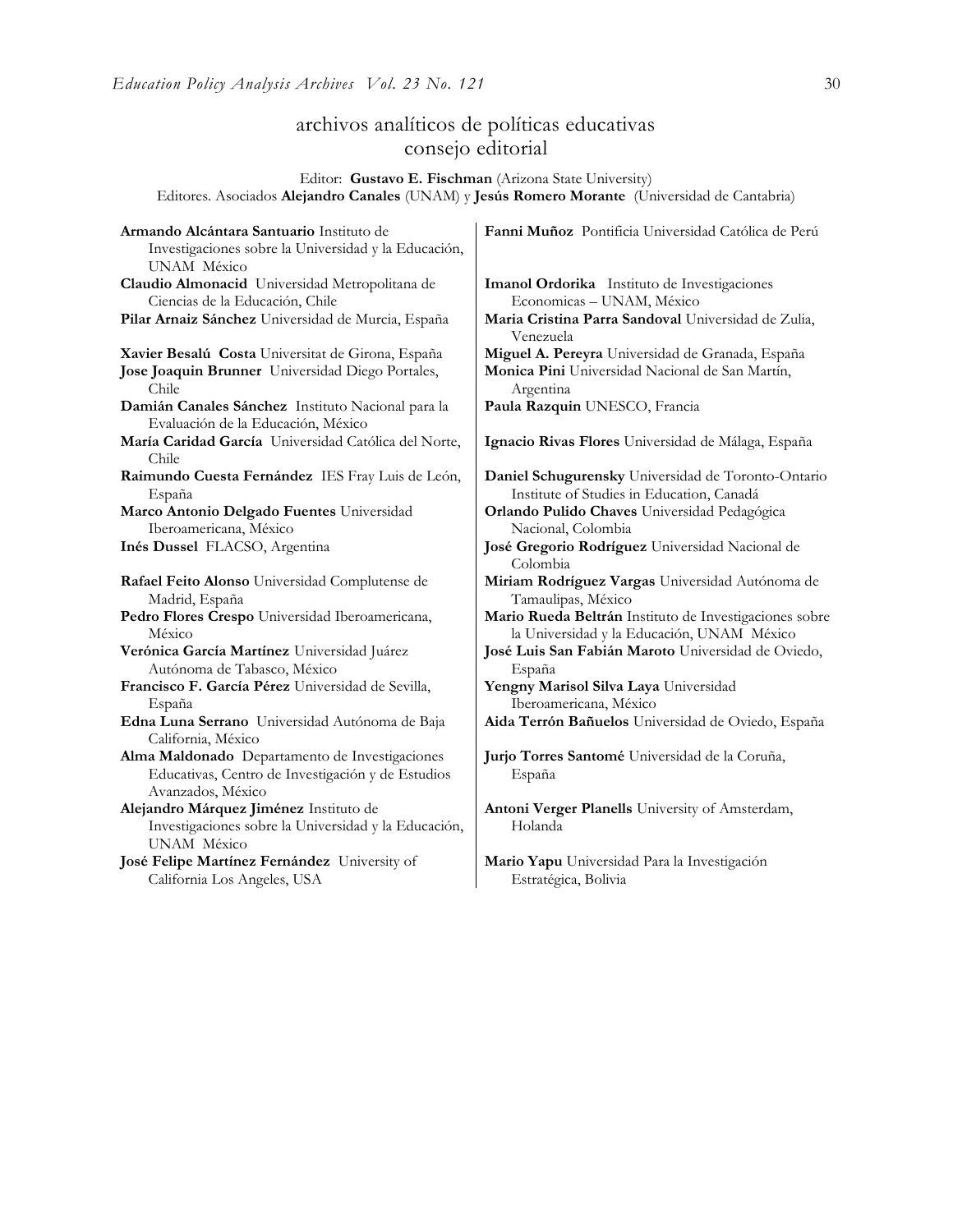# archivos analíticos de políticas educativas consejo editorial

Editor: **Gustavo E. Fischman** (Arizona State University) Editores. Asociados **Alejandro Canales** (UNAM) y **Jesús Romero Morante** (Universidad de Cantabria)

| Armando Alcántara Santuario Instituto de<br>Investigaciones sobre la Universidad y la Educación,<br>UNAM México | Fanni Muñoz Pontificia Universidad Católica de Perú                                                  |
|-----------------------------------------------------------------------------------------------------------------|------------------------------------------------------------------------------------------------------|
| Claudio Almonacid Universidad Metropolitana de                                                                  | Imanol Ordorika Instituto de Investigaciones                                                         |
| Ciencias de la Educación, Chile                                                                                 | Economicas - UNAM, México                                                                            |
| Pilar Arnaiz Sánchez Universidad de Murcia, España                                                              | Maria Cristina Parra Sandoval Universidad de Zulia,<br>Venezuela                                     |
| Xavier Besalú Costa Universitat de Girona, España                                                               | Miguel A. Pereyra Universidad de Granada, España                                                     |
| Jose Joaquin Brunner Universidad Diego Portales,<br>Chile                                                       | Monica Pini Universidad Nacional de San Martín,<br>Argentina                                         |
| Damián Canales Sánchez Instituto Nacional para la                                                               | Paula Razquin UNESCO, Francia                                                                        |
| Evaluación de la Educación, México                                                                              |                                                                                                      |
| María Caridad García Universidad Católica del Norte,<br>Chile                                                   | Ignacio Rivas Flores Universidad de Málaga, España                                                   |
| Raimundo Cuesta Fernández IES Fray Luis de León,                                                                | Daniel Schugurensky Universidad de Toronto-Ontario                                                   |
| España                                                                                                          | Institute of Studies in Education, Canadá                                                            |
| Marco Antonio Delgado Fuentes Universidad                                                                       | Orlando Pulido Chaves Universidad Pedagógica                                                         |
| Iberoamericana, México                                                                                          | Nacional, Colombia                                                                                   |
| Inés Dussel FLACSO, Argentina                                                                                   | José Gregorio Rodríguez Universidad Nacional de<br>Colombia                                          |
| Rafael Feito Alonso Universidad Complutense de<br>Madrid, España                                                | Miriam Rodríguez Vargas Universidad Autónoma de<br>Tamaulipas, México                                |
| Pedro Flores Crespo Universidad Iberoamericana,<br>México                                                       | Mario Rueda Beltrán Instituto de Investigaciones sobre<br>la Universidad y la Educación, UNAM México |
| Verónica García Martínez Universidad Juárez                                                                     | José Luis San Fabián Maroto Universidad de Oviedo,                                                   |
| Autónoma de Tabasco, México                                                                                     | España                                                                                               |
| Francisco F. García Pérez Universidad de Sevilla,                                                               | Yengny Marisol Silva Laya Universidad                                                                |
| España                                                                                                          | Iberoamericana, México                                                                               |
| Edna Luna Serrano Universidad Autónoma de Baja<br>California, México                                            | Aida Terrón Bañuelos Universidad de Oviedo, España                                                   |
| Alma Maldonado Departamento de Investigaciones                                                                  | Jurjo Torres Santomé Universidad de la Coruña,                                                       |
| Educativas, Centro de Investigación y de Estudios<br>Avanzados, México                                          | España                                                                                               |
| Alejandro Márquez Jiménez Instituto de                                                                          | Antoni Verger Planells University of Amsterdam,                                                      |
| Investigaciones sobre la Universidad y la Educación,                                                            | Holanda                                                                                              |
| <b>UNAM México</b>                                                                                              |                                                                                                      |
| José Felipe Martínez Fernández University of                                                                    | Mario Yapu Universidad Para la Investigación                                                         |
| California Los Angeles, USA                                                                                     | Estratégica, Bolivia                                                                                 |